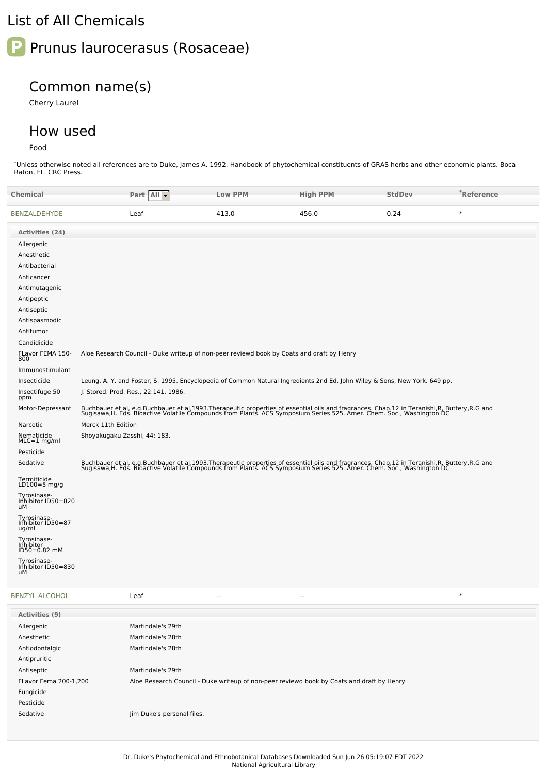## List of All Chemicals



## Common name(s)

Cherry Laurel

## How used

Food

\*Unless otherwise noted all references are to Duke, James A. 1992. Handbook of phytochemical constituents of GRAS herbs and other economic plants. Boca Raton, FL. CRC Press.

| Chemical                                  | Part All -                                                                                                                                                                                                                        | <b>Low PPM</b>           | <b>High PPM</b>          | <b>StdDev</b> | *Reference |
|-------------------------------------------|-----------------------------------------------------------------------------------------------------------------------------------------------------------------------------------------------------------------------------------|--------------------------|--------------------------|---------------|------------|
| BENZALDEHYDE                              | Leaf                                                                                                                                                                                                                              | 413.0                    | 456.0                    | 0.24          | $\ast$     |
| Activities (24)                           |                                                                                                                                                                                                                                   |                          |                          |               |            |
| Allergenic                                |                                                                                                                                                                                                                                   |                          |                          |               |            |
| Anesthetic                                |                                                                                                                                                                                                                                   |                          |                          |               |            |
| Antibacterial                             |                                                                                                                                                                                                                                   |                          |                          |               |            |
| Anticancer                                |                                                                                                                                                                                                                                   |                          |                          |               |            |
| Antimutagenic                             |                                                                                                                                                                                                                                   |                          |                          |               |            |
| Antipeptic                                |                                                                                                                                                                                                                                   |                          |                          |               |            |
| Antiseptic                                |                                                                                                                                                                                                                                   |                          |                          |               |            |
| Antispasmodic                             |                                                                                                                                                                                                                                   |                          |                          |               |            |
| Antitumor                                 |                                                                                                                                                                                                                                   |                          |                          |               |            |
| Candidicide                               |                                                                                                                                                                                                                                   |                          |                          |               |            |
| FLavor FEMA 150-<br>800                   | Aloe Research Council - Duke writeup of non-peer reviewd book by Coats and draft by Henry                                                                                                                                         |                          |                          |               |            |
| Immunostimulant                           |                                                                                                                                                                                                                                   |                          |                          |               |            |
| Insecticide                               | Leung, A. Y. and Foster, S. 1995. Encyclopedia of Common Natural Ingredients 2nd Ed. John Wiley & Sons, New York. 649 pp.                                                                                                         |                          |                          |               |            |
| Insectifuge 50<br>ppm                     | J. Stored. Prod. Res., 22:141, 1986.                                                                                                                                                                                              |                          |                          |               |            |
| Motor-Depressant                          | Buchbauer et al, e.g.Buchbauer et al,1993.Therapeutic properties of essential oils and fragrances. Chap.12 in Teranishi,R, Buttery,R.G and<br>Sugisawa,H. Eds. Bioactive Volatile Compounds from Plants. ACS Symposium Series 525 |                          |                          |               |            |
| Narcotic                                  | Merck 11th Edition                                                                                                                                                                                                                |                          |                          |               |            |
| Nematicide<br>$MLC=1$ mg/ml               | Shoyakugaku Zasshi, 44: 183.                                                                                                                                                                                                      |                          |                          |               |            |
| Pesticide                                 |                                                                                                                                                                                                                                   |                          |                          |               |            |
| Sedative                                  | Buchbauer et al, e.g.Buchbauer et al,1993.Therapeutic properties of essential oils and fragrances. Chap.12 in Teranishi,R, Buttery,R.G and<br>Sugisawa,H. Eds. Bioactive Volatile Compounds from Plants. ACS Symposium Series 525 |                          |                          |               |            |
| Termiticide<br>LD100=5 mg/g               |                                                                                                                                                                                                                                   |                          |                          |               |            |
| Tyrosinase-<br>Inhibitor ID50=820<br>uМ   |                                                                                                                                                                                                                                   |                          |                          |               |            |
| Tyrosinase-<br>Inhibitor ID50=87<br>ug/ml |                                                                                                                                                                                                                                   |                          |                          |               |            |
| Tyrosinase-<br>Inhibitor<br>ID50=0.82 mM  |                                                                                                                                                                                                                                   |                          |                          |               |            |
| Tyrosinase-<br>Inhibitor ID50=830<br>uМ   |                                                                                                                                                                                                                                   |                          |                          |               |            |
| BENZYL-ALCOHOL                            | Leaf                                                                                                                                                                                                                              | $\overline{\phantom{a}}$ | $\overline{\phantom{a}}$ |               | $\ast$     |
| Activities (9)                            |                                                                                                                                                                                                                                   |                          |                          |               |            |
| Allergenic                                | Martindale's 29th                                                                                                                                                                                                                 |                          |                          |               |            |
| Anesthetic                                | Martindale's 28th                                                                                                                                                                                                                 |                          |                          |               |            |
| Antiodontalgic                            | Martindale's 28th                                                                                                                                                                                                                 |                          |                          |               |            |
| Antipruritic                              |                                                                                                                                                                                                                                   |                          |                          |               |            |
| Antiseptic                                | Martindale's 29th                                                                                                                                                                                                                 |                          |                          |               |            |

FLavor Fema 200-1,200 Aloe Research Council - Duke writeup of non-peer reviewd book by Coats and draft by Henry

Fungicide

Pesticide

Sedative Jim Duke's personal files.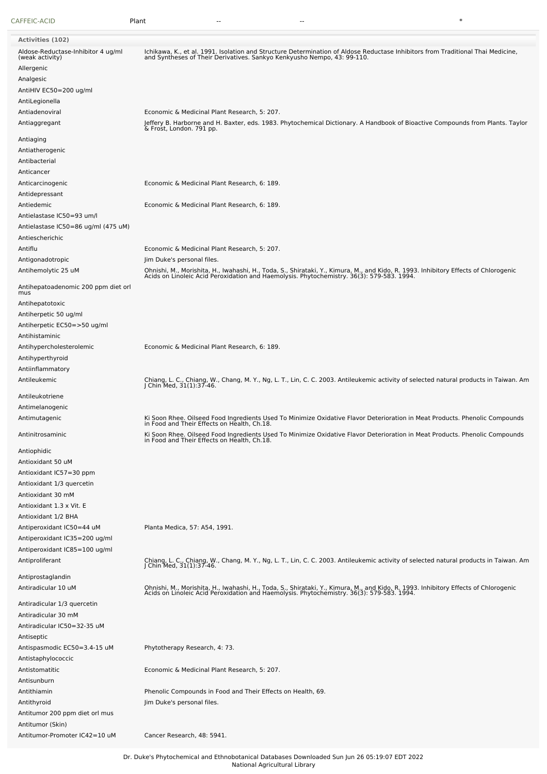| CAFFEIC-ACID                                          | Plant                                                                                                                                                                                                                            |
|-------------------------------------------------------|----------------------------------------------------------------------------------------------------------------------------------------------------------------------------------------------------------------------------------|
| <b>Activities (102)</b>                               |                                                                                                                                                                                                                                  |
|                                                       |                                                                                                                                                                                                                                  |
| Aldose-Reductase-Inhibitor 4 ug/ml<br>(weak activity) | Ichikawa, K., et al. 1991. Isolation and Structure Determination of Aldose Reductase Inhibitors from Traditional Thai Medicine,<br>and Syntheses of Their Derivatives. Sankyo Kenkyusho Nempo, 43: 99-110.                       |
| Allergenic                                            |                                                                                                                                                                                                                                  |
| Analgesic                                             |                                                                                                                                                                                                                                  |
| AntiHIV EC50=200 ug/ml                                |                                                                                                                                                                                                                                  |
| AntiLegionella                                        |                                                                                                                                                                                                                                  |
| Antiadenoviral                                        | Economic & Medicinal Plant Research, 5: 207.                                                                                                                                                                                     |
| Antiaggregant                                         |                                                                                                                                                                                                                                  |
| Antiaging                                             | Jeffery B. Harborne and H. Baxter, eds. 1983. Phytochemical Dictionary. A Handbook of Bioactive Compounds from Plants. Taylor<br>& Frost, London. 791 pp.                                                                        |
|                                                       |                                                                                                                                                                                                                                  |
| Antiatherogenic                                       |                                                                                                                                                                                                                                  |
| Antibacterial                                         |                                                                                                                                                                                                                                  |
| Anticancer                                            |                                                                                                                                                                                                                                  |
| Anticarcinogenic                                      | Economic & Medicinal Plant Research, 6: 189.                                                                                                                                                                                     |
| Antidepressant                                        |                                                                                                                                                                                                                                  |
| Antiedemic                                            | Economic & Medicinal Plant Research, 6: 189.                                                                                                                                                                                     |
| Antielastase IC50=93 um/l                             |                                                                                                                                                                                                                                  |
| Antielastase IC50=86 ug/ml (475 uM)                   |                                                                                                                                                                                                                                  |
| Antiescherichic                                       |                                                                                                                                                                                                                                  |
| Antiflu                                               | Economic & Medicinal Plant Research, 5: 207.                                                                                                                                                                                     |
| Antigonadotropic                                      | Jim Duke's personal files.                                                                                                                                                                                                       |
| Antihemolytic 25 uM                                   |                                                                                                                                                                                                                                  |
|                                                       | Ohnishi, M., Morishita, H., Iwahashi, H., Toda, S., Shirataki, Y., Kimura, M., and Kido, R. 1993. Inhibitory Effects of Chlorogenic<br>Acids on Linoleic Acid Peroxidation and Haemolysis. Phytochemistry. 36(3): 579-583. 1994. |
| Antihepatoadenomic 200 ppm diet orl<br>mus            |                                                                                                                                                                                                                                  |
| Antihepatotoxic                                       |                                                                                                                                                                                                                                  |
| Antiherpetic 50 ug/ml                                 |                                                                                                                                                                                                                                  |
| Antiherpetic EC50=>50 ug/ml                           |                                                                                                                                                                                                                                  |
| Antihistaminic                                        |                                                                                                                                                                                                                                  |
| Antihypercholesterolemic                              | Economic & Medicinal Plant Research, 6: 189.                                                                                                                                                                                     |
| Antihyperthyroid                                      |                                                                                                                                                                                                                                  |
|                                                       |                                                                                                                                                                                                                                  |
| Antiinflammatory                                      |                                                                                                                                                                                                                                  |
| Antileukemic                                          | Chiang, L. C., Chiang, W., Chang, M. Y., Ng, L. T., Lin, C. C. 2003. Antileukemic activity of selected natural products in Taiwan. Am<br>J Chin Med, 31(1):37-46.                                                                |
| Antileukotriene                                       |                                                                                                                                                                                                                                  |
| Antimelanogenic                                       |                                                                                                                                                                                                                                  |
| Antimutagenic                                         | Ki Soon Rhee. Oilseed Food Ingredients Used To Minimize Oxidative Flavor Deterioration in Meat Products. Phenolic Compounds<br>in Food and Their Effects on Health, Ch.18.                                                       |
| Antinitrosaminic                                      | Ki Soon Rhee. Oilseed Food Ingredients Used To Minimize Oxidative Flavor Deterioration in Meat Products. Phenolic Compounds<br>in Food and Their Effects on Health, Ch.18.                                                       |
|                                                       |                                                                                                                                                                                                                                  |
| Antiophidic                                           |                                                                                                                                                                                                                                  |
| Antioxidant 50 uM                                     |                                                                                                                                                                                                                                  |
| Antioxidant IC57=30 ppm                               |                                                                                                                                                                                                                                  |
| Antioxidant 1/3 quercetin                             |                                                                                                                                                                                                                                  |
| Antioxidant 30 mM                                     |                                                                                                                                                                                                                                  |
| Antioxidant 1.3 x Vit. E                              |                                                                                                                                                                                                                                  |
| Antioxidant 1/2 BHA                                   |                                                                                                                                                                                                                                  |
| Antiperoxidant IC50=44 uM                             | Planta Medica, 57: A54, 1991.                                                                                                                                                                                                    |
| Antiperoxidant IC35=200 ug/ml                         |                                                                                                                                                                                                                                  |
| Antiperoxidant IC85=100 ug/ml                         |                                                                                                                                                                                                                                  |
| Antiproliferant                                       | Chiang, L. C., Chiang, W., Chang, M. Y., Ng, L. T., Lin, C. C. 2003. Antileukemic activity of selected natural products in Taiwan. Am<br>J Chin Med, 31(1):37-46.                                                                |
|                                                       |                                                                                                                                                                                                                                  |
| Antiprostaglandin                                     |                                                                                                                                                                                                                                  |
| Antiradicular 10 uM                                   | Ohnishi, M., Morishita, H., Iwahashi, H., Toda, S., Shirataki, Y., Kimura, M., and Kido, R. 1993. Inhibitory Effects of Chlorogenic<br>Acids on Linoleic Acid Peroxidation and Haemolysis. Phytochemistry. 36(3): 579-583. 1994. |
| Antiradicular 1/3 quercetin                           |                                                                                                                                                                                                                                  |
| Antiradicular 30 mM                                   |                                                                                                                                                                                                                                  |
|                                                       |                                                                                                                                                                                                                                  |
| Antiradicular IC50=32-35 uM                           |                                                                                                                                                                                                                                  |
| Antiseptic                                            |                                                                                                                                                                                                                                  |
| Antispasmodic EC50=3.4-15 uM                          | Phytotherapy Research, 4: 73.                                                                                                                                                                                                    |
| Antistaphylococcic                                    |                                                                                                                                                                                                                                  |
| Antistomatitic                                        | Economic & Medicinal Plant Research, 5: 207.                                                                                                                                                                                     |
| Antisunburn<br>Antithiamin                            | Phenolic Compounds in Food and Their Effects on Health, 69.                                                                                                                                                                      |
|                                                       |                                                                                                                                                                                                                                  |
| Antithyroid                                           | Jim Duke's personal files.                                                                                                                                                                                                       |
| Antitumor 200 ppm diet orl mus                        |                                                                                                                                                                                                                                  |
| Antitumor (Skin)                                      |                                                                                                                                                                                                                                  |
| Antitumor-Promoter IC42=10 uM                         | Cancer Research, 48: 5941.                                                                                                                                                                                                       |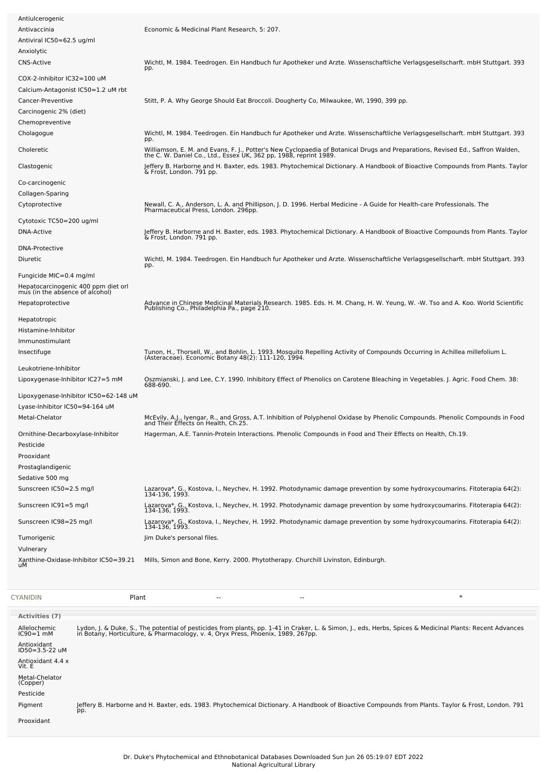| Antiulcerogenic                                                        |                                                                                                                                                                                                     |
|------------------------------------------------------------------------|-----------------------------------------------------------------------------------------------------------------------------------------------------------------------------------------------------|
| Antivaccinia                                                           | Economic & Medicinal Plant Research, 5: 207.                                                                                                                                                        |
| Antiviral IC50=62.5 ug/ml                                              |                                                                                                                                                                                                     |
| Anxiolytic                                                             |                                                                                                                                                                                                     |
| <b>CNS-Active</b>                                                      | Wichtl, M. 1984. Teedrogen. Ein Handbuch fur Apotheker und Arzte. Wissenschaftliche Verlagsgesellscharft. mbH Stuttgart. 393<br>pp.                                                                 |
| COX-2-Inhibitor IC32=100 uM                                            |                                                                                                                                                                                                     |
| Calcium-Antagonist IC50=1.2 uM rbt                                     |                                                                                                                                                                                                     |
| Cancer-Preventive                                                      | Stitt, P. A. Why George Should Eat Broccoli. Dougherty Co, Milwaukee, WI, 1990, 399 pp.                                                                                                             |
| Carcinogenic 2% (diet)                                                 |                                                                                                                                                                                                     |
| Chemopreventive                                                        |                                                                                                                                                                                                     |
| Cholagogue                                                             | Wichtl, M. 1984. Teedrogen. Ein Handbuch fur Apotheker und Arzte. Wissenschaftliche Verlagsgesellscharft. mbH Stuttgart. 393<br>pp.                                                                 |
| Choleretic                                                             | Williamson, E. M. and Evans, F. J., Potter's New Cyclopaedia of Botanical Drugs and Preparations, Revised Ed., Saffron Walden,<br>the C. W. Daniel Co., Ltd., Essex UK, 362 pp, 1988, reprint 1989. |
| Clastogenic                                                            | Jeffery B. Harborne and H. Baxter, eds. 1983. Phytochemical Dictionary. A Handbook of Bioactive Compounds from Plants. Taylor<br>& Frost, London. 791 pp.                                           |
| Co-carcinogenic                                                        |                                                                                                                                                                                                     |
| Collagen-Sparing                                                       |                                                                                                                                                                                                     |
| Cytoprotective                                                         | Newall, C. A., Anderson, L. A. and Phillipson, J. D. 1996. Herbal Medicine - A Guide for Health-care Professionals. The                                                                             |
|                                                                        | Pharmaceutical Press, London. 296pp.                                                                                                                                                                |
| Cytotoxic TC50=200 ug/ml                                               |                                                                                                                                                                                                     |
| DNA-Active                                                             | Jeffery B. Harborne and H. Baxter, eds. 1983. Phytochemical Dictionary. A Handbook of Bioactive Compounds from Plants. Taylor<br>& Frost, London. 791 pp.                                           |
| <b>DNA-Protective</b>                                                  |                                                                                                                                                                                                     |
| Diuretic                                                               | Wichtl, M. 1984. Teedrogen. Ein Handbuch fur Apotheker und Arzte. Wissenschaftliche Verlagsgesellscharft. mbH Stuttgart. 393<br>pp.                                                                 |
| Fungicide MIC=0.4 mg/ml                                                |                                                                                                                                                                                                     |
| Hepatocarcinogenic 400 ppm diet orl<br>mus (in the absence of alcohol) |                                                                                                                                                                                                     |
| Hepatoprotective                                                       | Advance in Chinese Medicinal Materials Research. 1985. Eds. H. M. Chang, H. W. Yeung, W. -W. Tso and A. Koo. World Scientific<br>Publishing Co., Philadelphia Pa., page 210.                        |
| Hepatotropic                                                           |                                                                                                                                                                                                     |
| Histamine-Inhibitor                                                    |                                                                                                                                                                                                     |
| Immunostimulant                                                        |                                                                                                                                                                                                     |
| Insectifuge                                                            | Tunon, H., Thorsell, W., and Bohlin, L. 1993. Mosquito Repelling Activity of Compounds Occurring in Achillea millefolium L.<br>(Asteraceae). Economic Botany 48(2): 111-120, 1994.                  |
| Leukotriene-Inhibitor                                                  |                                                                                                                                                                                                     |
| Lipoxygenase-Inhibitor IC27=5 mM                                       | Oszmianski, J. and Lee, C.Y. 1990. Inhibitory Effect of Phenolics on Carotene Bleaching in Vegetables. J. Agric. Food Chem. 38:<br>688-690.                                                         |
| Lipoxygenase-Inhibitor IC50=62-148 uM                                  |                                                                                                                                                                                                     |
| Lyase-Inhibitor IC50=94-164 uM                                         |                                                                                                                                                                                                     |
| Metal-Chelator                                                         | McEvily, A.J., Iyengar, R., and Gross, A.T. Inhibition of Polyphenol Oxidase by Phenolic Compounds. Phenolic Compounds in Food<br>and Their Effects on Health, Ch.25.                               |
| Ornithine-Decarboxylase-Inhibitor<br>Pesticide                         | Hagerman, A.E. Tannin-Protein Interactions. Phenolic Compounds in Food and Their Effects on Health, Ch.19.                                                                                          |
| Prooxidant                                                             |                                                                                                                                                                                                     |
| Prostaglandigenic                                                      |                                                                                                                                                                                                     |
| Sedative 500 mg                                                        |                                                                                                                                                                                                     |
| Sunscreen IC50=2.5 mg/l                                                | Lazarova*, G., Kostova, I., Neychev, H. 1992. Photodynamic damage prevention by some hydroxycoumarins. Fitoterapia 64(2):<br>134-136, 1993.                                                         |
| Sunscreen IC91=5 mg/l                                                  | Lazarova*, G., Kostova, I., Neychev, H. 1992. Photodynamic damage prevention by some hydroxycoumarins. Fitoterapia 64(2):<br>134-136, 1993.                                                         |
| Sunscreen IC98=25 mg/l                                                 | Lazarova*, G., Kostova, I., Neychev, H. 1992. Photodynamic damage prevention by some hydroxycoumarins. Fitoterapia 64(2):<br>134-136, 1993.                                                         |
| Tumorigenic                                                            | Jim Duke's personal files.                                                                                                                                                                          |
| Vulnerary                                                              |                                                                                                                                                                                                     |
| Xanthine-Oxidase-Inhibitor IC50=39.21<br>uМ                            | Mills, Simon and Bone, Kerry. 2000. Phytotherapy. Churchill Livinston, Edinburgh.                                                                                                                   |
|                                                                        |                                                                                                                                                                                                     |

| <b>CYANIDIN</b>                     | Plant | $- -$ | $- -$ |                                                                                                                                                                                                                                  | $\ast$ |
|-------------------------------------|-------|-------|-------|----------------------------------------------------------------------------------------------------------------------------------------------------------------------------------------------------------------------------------|--------|
| Activities (7)                      |       |       |       |                                                                                                                                                                                                                                  |        |
| Allelochemic<br>$IC90=1$ mM         |       |       |       | Lydon, J. & Duke, S., The potential of pesticides from plants, pp. 1-41 in Craker, L. & Simon, J., eds, Herbs, Spices & Medicinal Plants: Recent Advances<br>in Botany, Horticulture, & Pharmacology, v. 4, Oryx Press, Phoenix, |        |
| Antioxidant<br>$ID50 = 3.5 - 22$ uM |       |       |       |                                                                                                                                                                                                                                  |        |
| Antioxidant 4.4 x<br>Vit. E         |       |       |       |                                                                                                                                                                                                                                  |        |
| Metal-Chelator<br>(Copper)          |       |       |       |                                                                                                                                                                                                                                  |        |
| Pesticide                           |       |       |       |                                                                                                                                                                                                                                  |        |
| Pigment                             | pp.   |       |       | Jeffery B. Harborne and H. Baxter, eds. 1983. Phytochemical Dictionary. A Handbook of Bioactive Compounds from Plants. Taylor & Frost, London. 791                                                                               |        |
| Prooxidant                          |       |       |       |                                                                                                                                                                                                                                  |        |
|                                     |       |       |       |                                                                                                                                                                                                                                  |        |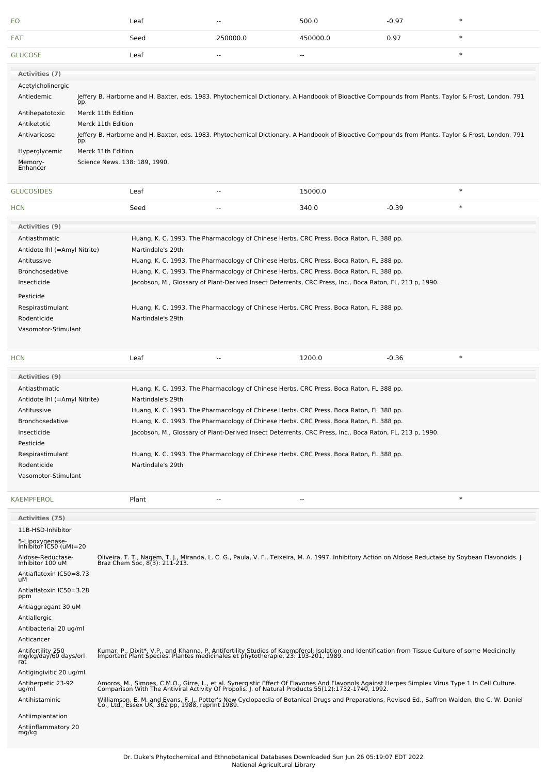| EO                                                                                                                                                                                                                                                                           | Leaf                                                                                                                                                                                                                                                                                                                                                                                                                                     | -−             | 500.0    | $-0.97$                                                                                                  |        |
|------------------------------------------------------------------------------------------------------------------------------------------------------------------------------------------------------------------------------------------------------------------------------|------------------------------------------------------------------------------------------------------------------------------------------------------------------------------------------------------------------------------------------------------------------------------------------------------------------------------------------------------------------------------------------------------------------------------------------|----------------|----------|----------------------------------------------------------------------------------------------------------|--------|
| FAT                                                                                                                                                                                                                                                                          | Seed                                                                                                                                                                                                                                                                                                                                                                                                                                     | 250000.0       | 450000.0 | 0.97                                                                                                     | $\ast$ |
| <b>GLUCOSE</b>                                                                                                                                                                                                                                                               | Leaf                                                                                                                                                                                                                                                                                                                                                                                                                                     | $\overline{a}$ | --       |                                                                                                          | $\ast$ |
| Activities (7)<br>Acetylcholinergic<br>Antiedemic<br>pp.<br>Antihepatotoxic<br>Antiketotic<br>Antivaricose                                                                                                                                                                   | Jeffery B. Harborne and H. Baxter, eds. 1983. Phytochemical Dictionary. A Handbook of Bioactive Compounds from Plants. Taylor & Frost, London. 791<br>Merck 11th Edition<br>Merck 11th Edition<br>Jeffery B. Harborne and H. Baxter, eds. 1983. Phytochemical Dictionary. A Handbook of Bioactive Compounds from Plants. Taylor & Frost, London. 791                                                                                     |                |          |                                                                                                          |        |
| pp.<br>Hyperglycemic<br>Memory-<br>Enhancer                                                                                                                                                                                                                                  | Merck 11th Edition<br>Science News, 138: 189, 1990.                                                                                                                                                                                                                                                                                                                                                                                      |                |          |                                                                                                          |        |
| <b>GLUCOSIDES</b>                                                                                                                                                                                                                                                            | Leaf                                                                                                                                                                                                                                                                                                                                                                                                                                     | $\overline{a}$ | 15000.0  |                                                                                                          | $\ast$ |
| <b>HCN</b>                                                                                                                                                                                                                                                                   | Seed                                                                                                                                                                                                                                                                                                                                                                                                                                     | --             | 340.0    | $-0.39$                                                                                                  | $\ast$ |
| <b>Activities (9)</b><br>Antiasthmatic<br>Antidote Ihl (=Amyl Nitrite)<br>Antitussive<br>Bronchosedative<br>Insecticide<br>Pesticide<br>Respirastimulant<br>Rodenticide<br>Vasomotor-Stimulant                                                                               | Huang, K. C. 1993. The Pharmacology of Chinese Herbs. CRC Press, Boca Raton, FL 388 pp.<br>Martindale's 29th<br>Huang, K. C. 1993. The Pharmacology of Chinese Herbs. CRC Press, Boca Raton, FL 388 pp.<br>Huang, K. C. 1993. The Pharmacology of Chinese Herbs. CRC Press, Boca Raton, FL 388 pp.<br>Huang, K. C. 1993. The Pharmacology of Chinese Herbs. CRC Press, Boca Raton, FL 388 pp.<br>Martindale's 29th                       |                |          | Jacobson, M., Glossary of Plant-Derived Insect Deterrents, CRC Press, Inc., Boca Raton, FL, 213 p, 1990. |        |
| <b>HCN</b>                                                                                                                                                                                                                                                                   | Leaf                                                                                                                                                                                                                                                                                                                                                                                                                                     | --             | 1200.0   | $-0.36$                                                                                                  | $\ast$ |
| <b>Activities (9)</b><br>Antiasthmatic<br>Antidote Ihl (=Amyl Nitrite)<br>Antitussive<br><b>Bronchosedative</b><br>Insecticide<br>Pesticide<br>Respirastimulant<br>Rodenticide<br>Vasomotor-Stimulant                                                                        | Huang, K. C. 1993. The Pharmacology of Chinese Herbs. CRC Press, Boca Raton, FL 388 pp.<br>Martindale's 29th<br>Huang, K. C. 1993. The Pharmacology of Chinese Herbs. CRC Press, Boca Raton, FL 388 pp.<br>Huang, K. C. 1993. The Pharmacology of Chinese Herbs. CRC Press, Boca Raton, FL 388 pp.<br>Huang, K. C. 1993. The Pharmacology of Chinese Herbs. CRC Press, Boca Raton, FL 388 pp.<br>Martindale's 29th                       |                |          | Jacobson, M., Glossary of Plant-Derived Insect Deterrents, CRC Press, Inc., Boca Raton, FL, 213 p, 1990. |        |
| <b>KAEMPFEROL</b>                                                                                                                                                                                                                                                            | Plant                                                                                                                                                                                                                                                                                                                                                                                                                                    |                | --       |                                                                                                          | $\ast$ |
| Activities (75)<br>11B-HSD-Inhibitor<br>5-Lipoxygenase-<br>Inhibitor IC50 (uM)=20<br>Aldose-Reductase-<br>Inhibitor 100 uM<br>Antiaflatoxin IC50=8.73<br>uМ<br>Antiaflatoxin IC50=3.28<br>ppm<br>Antiaggregant 30 uM<br>Antiallergic<br>Antibacterial 20 ug/ml<br>Anticancer | Oliveira, T. T., Nagem, T. J., Miranda, L. C. G., Paula, V. F., Teixeira, M. A. 1997. Inhibitory Action on Aldose Reductase by Soybean Flavonoids. J<br>Braz Chem Soc, 8(3): 211-213.                                                                                                                                                                                                                                                    |                |          |                                                                                                          |        |
| Antifertility 250<br>mg/kg/daý/60 days/orl<br>rat                                                                                                                                                                                                                            | Kumar, P., Dixit*, V.P., and Khanna, P. Antifertility Studies of Kaempferol: Isolation and Identification from Tissue Culture of some Medicinally<br>Important Plant Species. Plantes medicinales et phytotherapie, 23: 193-201,                                                                                                                                                                                                         |                |          |                                                                                                          |        |
| Antigingivitic 20 ug/ml<br>Antiherpetic 23-92<br>ug/ml<br>Antihistaminic<br>Antiimplantation<br>Antiinflammatory 20<br>mg/kg                                                                                                                                                 | Amoros, M., Simoes, C.M.O., Girre, L., et al. Synergistic Effect Of Flavones And Flavonols Against Herpes Simplex Virus Type 1 In Cell Culture.<br>Comparison With The Antiviral Activity Of Propolis. J. of Natural Products 55(<br>Williamson, E. M. and Evans, F. J., Potter's New Cyclopaedia of Botanical Drugs and Preparations, Revised Ed., Saffron Walden, the C. W. Daniel<br>Co., Ltd., Essex UK, 362 pp, 1988, reprint 1989. |                |          |                                                                                                          |        |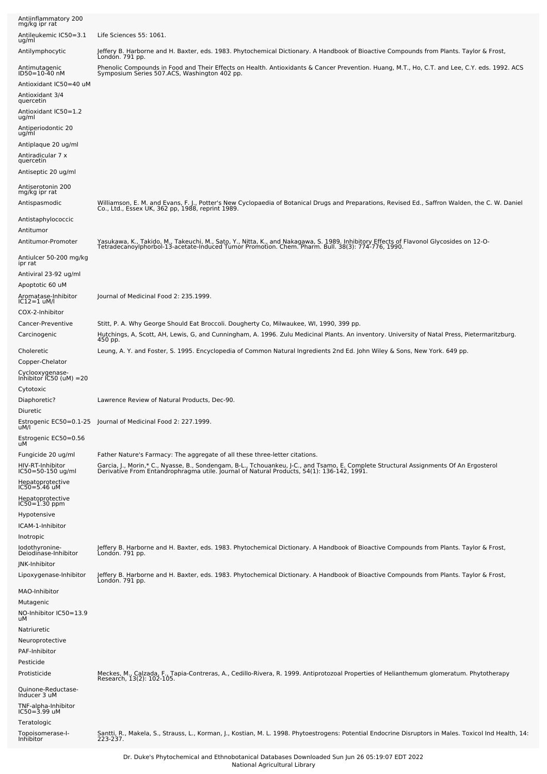| Antiinflammatory 200<br>mg/kg ipr rat                                                    |                                                                                                                                                                                                                                             |
|------------------------------------------------------------------------------------------|---------------------------------------------------------------------------------------------------------------------------------------------------------------------------------------------------------------------------------------------|
| Antileukemic IC50=3.1<br>ug/ml                                                           | Life Sciences 55: 1061.                                                                                                                                                                                                                     |
| Antilymphocytic                                                                          | Jeffery B. Harborne and H. Baxter, eds. 1983. Phytochemical Dictionary. A Handbook of Bioactive Compounds from Plants. Taylor & Frost,<br>London. 791 pp.                                                                                   |
| Antimutagenic<br>ID50=10-40 nM<br>Antioxidant IC50=40 uM<br>Antioxidant 3/4<br>quercetin | Phenolic Compounds in Food and Their Effects on Health. Antioxidants & Cancer Prevention. Huang, M.T., Ho, C.T. and Lee, C.Y. eds. 1992. ACS<br>Symposium Series 507.ACS, Washington 402 pp.                                                |
| Antioxidant IC50=1.2<br>ug/ml                                                            |                                                                                                                                                                                                                                             |
| Antiperiodontic 20<br>ug/ml                                                              |                                                                                                                                                                                                                                             |
| Antiplaque 20 ug/ml<br>Antiradicular 7 x<br>quercetin                                    |                                                                                                                                                                                                                                             |
| Antiseptic 20 ug/ml                                                                      |                                                                                                                                                                                                                                             |
| Antiserotonin 200<br>mg/kg ipr rat                                                       |                                                                                                                                                                                                                                             |
| Antispasmodic                                                                            | Williamson, E. M. and Evans, F. J., Potter's New Cyclopaedia of Botanical Drugs and Preparations, Revised Ed., Saffron Walden, the C. W. Daniel<br>Co., Ltd., Essex UK, 362 pp, 1988, reprint 1989.                                         |
| Antistaphylococcic<br>Antitumor                                                          |                                                                                                                                                                                                                                             |
| Antitumor-Promoter                                                                       | Yasukawa, K., Takido, M., Takeuchi, M., Sato, Y., Nitta, K., and Nakagawa, S. 1989. Inhibitory Effects of Flavonol Glycosides on 12-O-<br>TetradecanoyIphorbol-13-acetate-Induced Tumor Promotion. Chem. Pharm. Bull. 38(3): 774-776, 1990. |
| Antiulcer 50-200 mg/kg<br>ipr rat                                                        |                                                                                                                                                                                                                                             |
| Antiviral 23-92 ug/ml<br>Apoptotic 60 uM                                                 |                                                                                                                                                                                                                                             |
| Aromatase-Inhibitor<br>IC12=1 uM/l<br>COX-2-Inhibitor                                    | Journal of Medicinal Food 2: 235.1999.                                                                                                                                                                                                      |
| Cancer-Preventive                                                                        | Stitt, P. A. Why George Should Eat Broccoli. Dougherty Co, Milwaukee, WI, 1990, 399 pp.                                                                                                                                                     |
| Carcinogenic                                                                             | Hutchings, A, Scott, AH, Lewis, G, and Cunningham, A. 1996. Zulu Medicinal Plants. An inventory. University of Natal Press, Pietermaritzburg.<br>450 pp.                                                                                    |
| Choleretic<br>Copper-Chelator                                                            | Leung, A. Y. and Foster, S. 1995. Encyclopedia of Common Natural Ingredients 2nd Ed. John Wiley & Sons, New York. 649 pp.                                                                                                                   |
| Cyclooxygenase-<br>Inhibitor IC50 (uM) =20<br>Cytotoxic                                  |                                                                                                                                                                                                                                             |
| Diaphoretic?<br>Diuretic                                                                 | Lawrence Review of Natural Products, Dec-90.                                                                                                                                                                                                |
| uM/l                                                                                     | Estrogenic EC50=0.1-25 Journal of Medicinal Food 2: 227.1999                                                                                                                                                                                |
| Estrogenic EC50=0.56<br>uМ                                                               |                                                                                                                                                                                                                                             |
| Fungicide 20 ug/ml                                                                       | Father Nature's Farmacy: The aggregate of all these three-letter citations.                                                                                                                                                                 |
| HIV-RT-Inhibitor<br>IC50=50-150 ug/ml<br>Hepatoprotective                                | Garcia, J., Morin,* C., Nyasse, B., Sondengam, B-L., Tchouankeu, J-C., and Tsamo, E. Complete Structural Assignments Of An Ergosterol<br>Derivative From Entandrophragma utile. Journal of Natural Products, 54(1): 136-142, 1991           |
| IC50=5.46 uM<br>Hepatoprotective<br>$IC50 = 1.30$ ppm                                    |                                                                                                                                                                                                                                             |
| Hypotensive                                                                              |                                                                                                                                                                                                                                             |
| ICAM-1-Inhibitor                                                                         |                                                                                                                                                                                                                                             |
| Inotropic<br>lodothyronine-<br>Deiodinase-Inhibitor                                      | Jeffery B. Harborne and H. Baxter, eds. 1983. Phytochemical Dictionary. A Handbook of Bioactive Compounds from Plants. Taylor & Frost,<br>London. 791 pp.                                                                                   |
| JNK-Inhibitor<br>Lipoxygenase-Inhibitor                                                  | Jeffery B. Harborne and H. Baxter, eds. 1983. Phytochemical Dictionary. A Handbook of Bioactive Compounds from Plants. Taylor & Frost,                                                                                                      |
| MAO-Inhibitor                                                                            | Londón. 791 pp.                                                                                                                                                                                                                             |
| Mutagenic                                                                                |                                                                                                                                                                                                                                             |
| NO-Inhibitor IC50=13.9<br>uМ                                                             |                                                                                                                                                                                                                                             |
| Natriuretic<br>Neuroprotective<br>PAF-Inhibitor                                          |                                                                                                                                                                                                                                             |
| Pesticide                                                                                |                                                                                                                                                                                                                                             |
| Protisticide                                                                             | Meckes, M., Calzada, F., Tapia-Contreras, A., Cedillo-Rivera, R. 1999. Antiprotozoal Properties of Helianthemum glomeratum. Phytotherapy<br>Research, 13(2): 102-105.                                                                       |
| Quinone-Reductase-<br>Inducer 3 uM                                                       |                                                                                                                                                                                                                                             |
| TNF-alpha-Inhibitor<br>$IC50 = 3.99$ uM                                                  |                                                                                                                                                                                                                                             |
| Teratologic<br>Topoisomerase-I-<br>Inhibitor                                             | Santti, R., Makela, S., Strauss, L., Korman, J., Kostian, M. L. 1998. Phytoestrogens: Potential Endocrine Disruptors in Males. Toxicol Ind Health, 14:<br>223-237.                                                                          |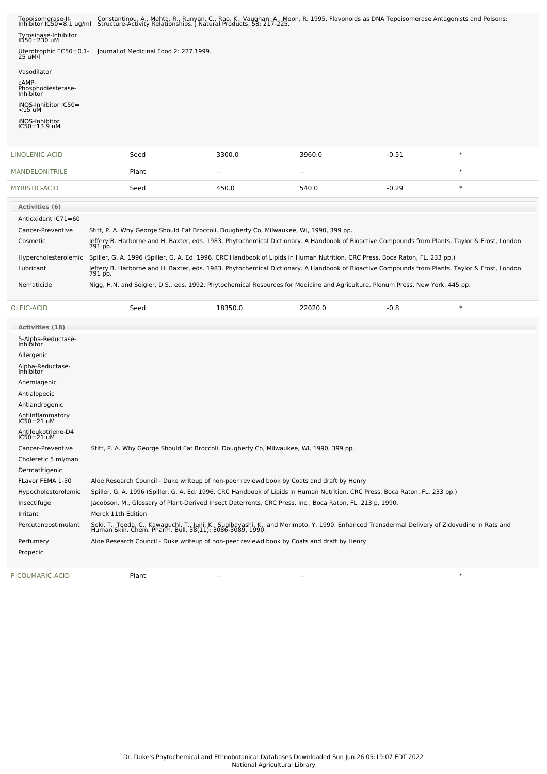| Topoisomerase-II-<br>Inhibitor $IC50 = 8.1$ ug/ml | Constantinou, A., Mehta, R., Runyan, C., Rao, K., Vaughan, A., Moon, R. 1995. Flavonoids as DNA Topoisomerase Antagonists and Poisons:<br>Structure-Activity Relationships. J Natural Products, 58: 217-225. |
|---------------------------------------------------|--------------------------------------------------------------------------------------------------------------------------------------------------------------------------------------------------------------|
| Tyrosinase-Inhibitor<br>ID50=230 uM               |                                                                                                                                                                                                              |
| Uterotrophic EC50=0.1-<br>25 uM/l                 | lournal of Medicinal Food 2: 227.1999.                                                                                                                                                                       |
| Vasodilator                                       |                                                                                                                                                                                                              |
| cAMP-<br>Phosphodiesterase-<br>Inhibitor          |                                                                                                                                                                                                              |
| iNOS-Inhibitor IC50=<br>$<$ 15 uM                 |                                                                                                                                                                                                              |
| iNOS-Inhibitor<br>$IC50 = 13.9$ uM                |                                                                                                                                                                                                              |
|                                                   |                                                                                                                                                                                                              |

| LINOLENIC-ACID        | Seed                                                                                                                                                      | 3300.0                   | 3960.0  | $-0.51$ | $\ast$ |  |
|-----------------------|-----------------------------------------------------------------------------------------------------------------------------------------------------------|--------------------------|---------|---------|--------|--|
| <b>MANDELONITRILE</b> | Plant                                                                                                                                                     | $\overline{\phantom{m}}$ | $- -$   |         | $\ast$ |  |
| MYRISTIC-ACID         | Seed                                                                                                                                                      | 450.0                    | 540.0   | $-0.29$ | $\ast$ |  |
| <b>Activities (6)</b> |                                                                                                                                                           |                          |         |         |        |  |
| Antioxidant IC71=60   |                                                                                                                                                           |                          |         |         |        |  |
| Cancer-Preventive     | Stitt, P. A. Why George Should Eat Broccoli. Dougherty Co, Milwaukee, WI, 1990, 399 pp.                                                                   |                          |         |         |        |  |
| Cosmetic              | Jeffery B. Harborne and H. Baxter, eds. 1983. Phytochemical Dictionary. A Handbook of Bioactive Compounds from Plants. Taylor & Frost, London.<br>791 pp. |                          |         |         |        |  |
| Hypercholesterolemic  | Spiller, G. A. 1996 (Spiller, G. A. Ed. 1996. CRC Handbook of Lipids in Human Nutrition. CRC Press. Boca Raton, FL. 233 pp.)                              |                          |         |         |        |  |
| Lubricant             | Jeffery B. Harborne and H. Baxter, eds. 1983. Phytochemical Dictionary. A Handbook of Bioactive Compounds from Plants. Taylor & Frost, London.<br>791 pp. |                          |         |         |        |  |
| Nematicide            | Nigg, H.N. and Seigler, D.S., eds. 1992. Phytochemical Resources for Medicine and Agriculture. Plenum Press, New York. 445 pp.                            |                          |         |         |        |  |
| OLEIC-ACID            | Seed                                                                                                                                                      | 18350.0                  | 22020.0 | $-0.8$  | $\ast$ |  |

| Activities (18)                    |                    |                          |                                                                                                          |                                                                                                                                                                                                          |  |
|------------------------------------|--------------------|--------------------------|----------------------------------------------------------------------------------------------------------|----------------------------------------------------------------------------------------------------------------------------------------------------------------------------------------------------------|--|
| 5-Alpha-Reductase-<br>Inhibitor    |                    |                          |                                                                                                          |                                                                                                                                                                                                          |  |
| Allergenic                         |                    |                          |                                                                                                          |                                                                                                                                                                                                          |  |
| Alpha-Reductase-<br>Inhibitor      |                    |                          |                                                                                                          |                                                                                                                                                                                                          |  |
| Anemiagenic                        |                    |                          |                                                                                                          |                                                                                                                                                                                                          |  |
| Antialopecic                       |                    |                          |                                                                                                          |                                                                                                                                                                                                          |  |
| Antiandrogenic                     |                    |                          |                                                                                                          |                                                                                                                                                                                                          |  |
| Antiinflammatory<br>$IC50 = 21$ uM |                    |                          |                                                                                                          |                                                                                                                                                                                                          |  |
| Antileukotriene-D4<br>$IC50=21$ uM |                    |                          |                                                                                                          |                                                                                                                                                                                                          |  |
| Cancer-Preventive                  |                    |                          | Stitt, P. A. Why George Should Eat Broccoli. Dougherty Co, Milwaukee, WI, 1990, 399 pp.                  |                                                                                                                                                                                                          |  |
| Choleretic 5 ml/man                |                    |                          |                                                                                                          |                                                                                                                                                                                                          |  |
| Dermatitigenic                     |                    |                          |                                                                                                          |                                                                                                                                                                                                          |  |
| FLavor FEMA 1-30                   |                    |                          | Aloe Research Council - Duke writeup of non-peer reviewd book by Coats and draft by Henry                |                                                                                                                                                                                                          |  |
| Hypocholesterolemic                |                    |                          |                                                                                                          | Spiller, G. A. 1996 (Spiller, G. A. Ed. 1996. CRC Handbook of Lipids in Human Nutrition. CRC Press. Boca Raton, FL. 233 pp.)                                                                             |  |
| Insectifuge                        |                    |                          | Jacobson, M., Glossary of Plant-Derived Insect Deterrents, CRC Press, Inc., Boca Raton, FL, 213 p, 1990. |                                                                                                                                                                                                          |  |
| Irritant                           | Merck 11th Edition |                          |                                                                                                          |                                                                                                                                                                                                          |  |
| Percutaneostimulant                |                    |                          |                                                                                                          | Seki, T., Toeda, C., Kawaguchi, T., Juni, K., Sugibayashi, K., and Morimoto, Y. 1990. Enhanced Transdermal Delivery of Zidovudine in Rats and<br>Human Skin. Chem. Pharm. Bull. 38(11): 3086-3089, 1990. |  |
| Perfumery                          |                    |                          | Aloe Research Council - Duke writeup of non-peer reviewd book by Coats and draft by Henry                |                                                                                                                                                                                                          |  |
| Propecic                           |                    |                          |                                                                                                          |                                                                                                                                                                                                          |  |
| P-COUMARIC-ACID                    | Plant              | $\overline{\phantom{a}}$ | --                                                                                                       | $\ast$                                                                                                                                                                                                   |  |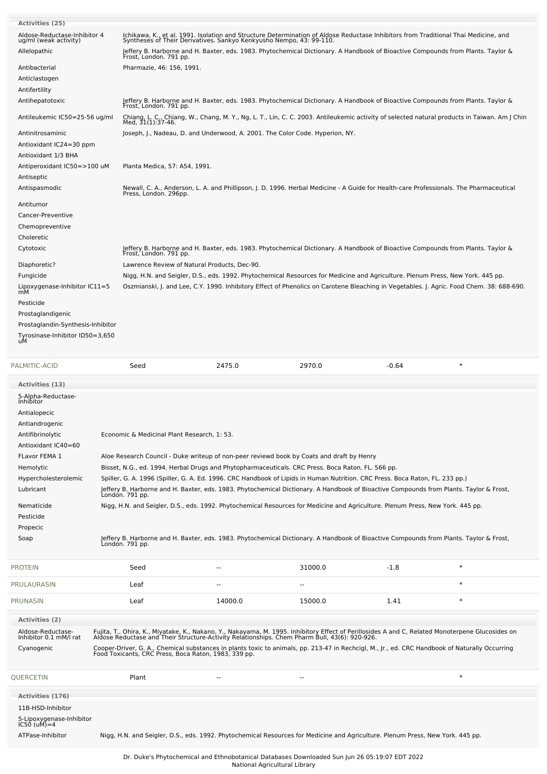| <b>Activities (25)</b>                                    |                                                                                                                                                                                                        |                                              |                                                                                                                                                                                                            |         |                                                                                                                                                                                                                                   |
|-----------------------------------------------------------|--------------------------------------------------------------------------------------------------------------------------------------------------------------------------------------------------------|----------------------------------------------|------------------------------------------------------------------------------------------------------------------------------------------------------------------------------------------------------------|---------|-----------------------------------------------------------------------------------------------------------------------------------------------------------------------------------------------------------------------------------|
| Aldose-Reductase-Inhibitor 4                              |                                                                                                                                                                                                        |                                              | Ichikawa, K., et al. 1991. Isolation and Structure Determination of Aldose Reductase Inhibitors from Traditional Thai Medicine, and<br>Syntheses of Their Derivatives. Sankyo Kenkyusho Nempo, 43: 99-110. |         |                                                                                                                                                                                                                                   |
| ug/ml (weak activity)<br>Allelopathic                     | Frost, London. 791 pp.                                                                                                                                                                                 |                                              | leffery B. Harborne and H. Baxter, eds. 1983. Phytochemical Dictionary. A Handbook of Bioactive Compounds from Plants. Taylor &                                                                            |         |                                                                                                                                                                                                                                   |
| Antibacterial                                             | Pharmazie, 46: 156, 1991.                                                                                                                                                                              |                                              |                                                                                                                                                                                                            |         |                                                                                                                                                                                                                                   |
| Anticlastogen                                             |                                                                                                                                                                                                        |                                              |                                                                                                                                                                                                            |         |                                                                                                                                                                                                                                   |
| Antifertility                                             |                                                                                                                                                                                                        |                                              |                                                                                                                                                                                                            |         |                                                                                                                                                                                                                                   |
| Antihepatotoxic                                           | Frost, London. 791 pp.                                                                                                                                                                                 |                                              | Jeffery B. Harborne and H. Baxter, eds. 1983. Phytochemical Dictionary. A Handbook of Bioactive Compounds from Plants. Taylor &                                                                            |         |                                                                                                                                                                                                                                   |
| Antileukemic IC50=25-56 ug/ml                             | Med, 31(1):37-46.                                                                                                                                                                                      |                                              |                                                                                                                                                                                                            |         | Chiang, L. C., Chiang, W., Chang, M. Y., Ng, L. T., Lin, C. C. 2003. Antileukemic activity of selected natural products in Taiwan. Am J Chin                                                                                      |
| Antinitrosaminic<br>Antioxidant IC24=30 ppm               |                                                                                                                                                                                                        |                                              | Joseph, J., Nadeau, D. and Underwood, A. 2001. The Color Code. Hyperion, NY.                                                                                                                               |         |                                                                                                                                                                                                                                   |
| Antioxidant 1/3 BHA                                       |                                                                                                                                                                                                        |                                              |                                                                                                                                                                                                            |         |                                                                                                                                                                                                                                   |
| Antiperoxidant IC50=>100 uM                               | Planta Medica, 57: A54, 1991.                                                                                                                                                                          |                                              |                                                                                                                                                                                                            |         |                                                                                                                                                                                                                                   |
| Antiseptic                                                |                                                                                                                                                                                                        |                                              |                                                                                                                                                                                                            |         |                                                                                                                                                                                                                                   |
| Antispasmodic                                             | Press, London. 296pp.                                                                                                                                                                                  |                                              |                                                                                                                                                                                                            |         | Newall, C. A., Anderson, L. A. and Phillipson, J. D. 1996. Herbal Medicine - A Guide for Health-care Professionals. The Pharmaceutical                                                                                            |
| Antitumor                                                 |                                                                                                                                                                                                        |                                              |                                                                                                                                                                                                            |         |                                                                                                                                                                                                                                   |
| Cancer-Preventive                                         |                                                                                                                                                                                                        |                                              |                                                                                                                                                                                                            |         |                                                                                                                                                                                                                                   |
| Chemopreventive                                           |                                                                                                                                                                                                        |                                              |                                                                                                                                                                                                            |         |                                                                                                                                                                                                                                   |
| Choleretic                                                |                                                                                                                                                                                                        |                                              |                                                                                                                                                                                                            |         |                                                                                                                                                                                                                                   |
| Cytotoxic                                                 | Frost, London. 791 pp.                                                                                                                                                                                 |                                              | Jeffery B. Harborne and H. Baxter, eds. 1983. Phytochemical Dictionary. A Handbook of Bioactive Compounds from Plants. Taylor &                                                                            |         |                                                                                                                                                                                                                                   |
| Diaphoretic?                                              |                                                                                                                                                                                                        | Lawrence Review of Natural Products, Dec-90. |                                                                                                                                                                                                            |         |                                                                                                                                                                                                                                   |
| Fungicide                                                 |                                                                                                                                                                                                        |                                              | Nigg, H.N. and Seigler, D.S., eds. 1992. Phytochemical Resources for Medicine and Agriculture. Plenum Press, New York. 445 pp.                                                                             |         |                                                                                                                                                                                                                                   |
| Lipoxygenase-Inhibitor IC11=5<br>mM                       |                                                                                                                                                                                                        |                                              |                                                                                                                                                                                                            |         | Oszmianski, J. and Lee, C.Y. 1990. Inhibitory Effect of Phenolics on Carotene Bleaching in Vegetables. J. Agric. Food Chem. 38: 688-690.                                                                                          |
| Pesticide                                                 |                                                                                                                                                                                                        |                                              |                                                                                                                                                                                                            |         |                                                                                                                                                                                                                                   |
| Prostaglandigenic                                         |                                                                                                                                                                                                        |                                              |                                                                                                                                                                                                            |         |                                                                                                                                                                                                                                   |
| Prostaglandin-Synthesis-Inhibitor                         |                                                                                                                                                                                                        |                                              |                                                                                                                                                                                                            |         |                                                                                                                                                                                                                                   |
| Tyrosinase-Inhibitor ID50=3,650<br>uМ                     |                                                                                                                                                                                                        |                                              |                                                                                                                                                                                                            |         |                                                                                                                                                                                                                                   |
| PALMITIC-ACID                                             | Seed                                                                                                                                                                                                   | 2475.0                                       | 2970.0                                                                                                                                                                                                     | $-0.64$ | $\ast$                                                                                                                                                                                                                            |
|                                                           |                                                                                                                                                                                                        |                                              |                                                                                                                                                                                                            |         |                                                                                                                                                                                                                                   |
| <b>Activities (13)</b><br>5-Alpha-Reductase-              |                                                                                                                                                                                                        |                                              |                                                                                                                                                                                                            |         |                                                                                                                                                                                                                                   |
| <b>Inhibitor</b>                                          |                                                                                                                                                                                                        |                                              |                                                                                                                                                                                                            |         |                                                                                                                                                                                                                                   |
| Antialopecic                                              |                                                                                                                                                                                                        |                                              |                                                                                                                                                                                                            |         |                                                                                                                                                                                                                                   |
| Antiandrogenic                                            |                                                                                                                                                                                                        |                                              |                                                                                                                                                                                                            |         |                                                                                                                                                                                                                                   |
| Antifibrinolytic<br>Antioxidant IC40=60                   | Economic & Medicinal Plant Research, 1: 53.                                                                                                                                                            |                                              |                                                                                                                                                                                                            |         |                                                                                                                                                                                                                                   |
| FLavor FEMA 1                                             |                                                                                                                                                                                                        |                                              | Aloe Research Council - Duke writeup of non-peer reviewd book by Coats and draft by Henry                                                                                                                  |         |                                                                                                                                                                                                                                   |
| Hemolytic                                                 |                                                                                                                                                                                                        |                                              | Bisset, N.G., ed. 1994. Herbal Drugs and Phytopharmaceuticals. CRC Press. Boca Raton, FL. 566 pp.                                                                                                          |         |                                                                                                                                                                                                                                   |
| Hypercholesterolemic                                      |                                                                                                                                                                                                        |                                              | Spiller, G. A. 1996 (Spiller, G. A. Ed. 1996. CRC Handbook of Lipids in Human Nutrition. CRC Press. Boca Raton, FL. 233 pp.)                                                                               |         |                                                                                                                                                                                                                                   |
| Lubricant                                                 |                                                                                                                                                                                                        |                                              | Jeffery B. Harborne and H. Baxter, eds. 1983. Phytochemical Dictionary. A Handbook of Bioactive Compounds from Plants. Taylor & Frost,<br>London. 791 pp.                                                  |         |                                                                                                                                                                                                                                   |
| Nematicide                                                |                                                                                                                                                                                                        |                                              | Nigg, H.N. and Seigler, D.S., eds. 1992. Phytochemical Resources for Medicine and Agriculture. Plenum Press, New York. 445 pp.                                                                             |         |                                                                                                                                                                                                                                   |
| Pesticide                                                 |                                                                                                                                                                                                        |                                              |                                                                                                                                                                                                            |         |                                                                                                                                                                                                                                   |
| Propecic                                                  |                                                                                                                                                                                                        |                                              |                                                                                                                                                                                                            |         |                                                                                                                                                                                                                                   |
| Soap                                                      | Londón. 791 pp.                                                                                                                                                                                        |                                              | Jeffery B. Harborne and H. Baxter, eds. 1983. Phytochemical Dictionary. A Handbook of Bioactive Compounds from Plants. Taylor & Frost,                                                                     |         |                                                                                                                                                                                                                                   |
| <b>PROTEIN</b>                                            | Seed                                                                                                                                                                                                   |                                              | 31000.0                                                                                                                                                                                                    | $-1.8$  | $\ast$                                                                                                                                                                                                                            |
| PRULAURASIN                                               | Leaf                                                                                                                                                                                                   |                                              |                                                                                                                                                                                                            |         | $\ast$                                                                                                                                                                                                                            |
| <b>PRUNASIN</b>                                           | Leaf                                                                                                                                                                                                   | 14000.0                                      | 15000.0                                                                                                                                                                                                    | 1.41    | $\ast$                                                                                                                                                                                                                            |
|                                                           |                                                                                                                                                                                                        |                                              |                                                                                                                                                                                                            |         |                                                                                                                                                                                                                                   |
| Activities (2)                                            |                                                                                                                                                                                                        |                                              |                                                                                                                                                                                                            |         |                                                                                                                                                                                                                                   |
|                                                           |                                                                                                                                                                                                        |                                              |                                                                                                                                                                                                            |         |                                                                                                                                                                                                                                   |
| Aldose-Reductase-<br>Inhibitor 0.1 mM/l rat<br>Cyanogenic | Cooper-Driver, G. A., Chemical substances in plants toxic to animals, pp. 213-47 in Rechcigl, M., Jr., ed. CRC Handbook of Naturally Occurring<br>Food Toxicants, CRC Press, Boca Raton, 1983, 339 pp. |                                              |                                                                                                                                                                                                            |         | Fujita, T., Ohira, K., Miyatake, K., Nakano, Y., Nakayama, M. 1995. Inhibitory Effect of Perillosides A and C, Related Monoterpene Glucosides on<br>Aldose Reductase and Their Structure-Activity Relationships. Chem Pharm Bull, |

| Activities (176)                        |                                                                                                                                |
|-----------------------------------------|--------------------------------------------------------------------------------------------------------------------------------|
| 11B-HSD-Inhibitor                       |                                                                                                                                |
| 5-Lipoxygenase-Inhibitor<br>IC50 (uM)=4 |                                                                                                                                |
| ATPase-Inhibitor                        | Nigg, H.N. and Seigler, D.S., eds. 1992. Phytochemical Resources for Medicine and Agriculture. Plenum Press, New York. 445 pp. |
|                                         |                                                                                                                                |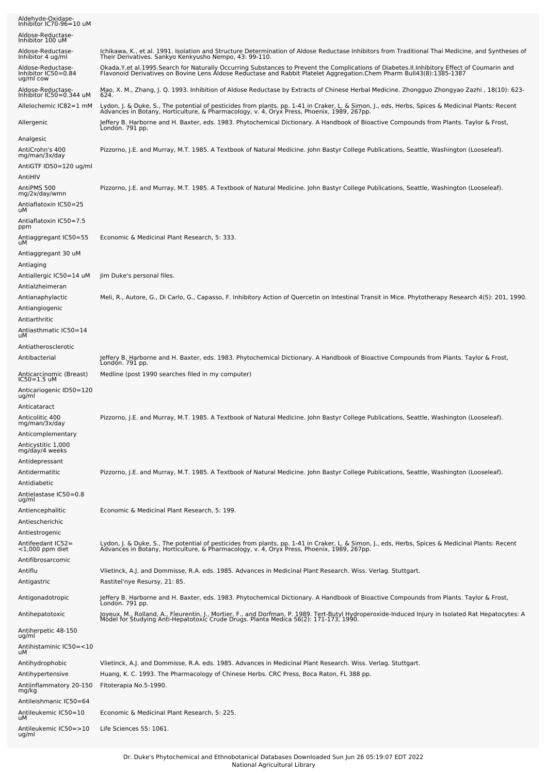| Aldehyde-Oxidase-<br>Inhibitor IC70-96=10 uM                                       |                                                                                                                                                                                                                                                                          |
|------------------------------------------------------------------------------------|--------------------------------------------------------------------------------------------------------------------------------------------------------------------------------------------------------------------------------------------------------------------------|
| Aldose-Reductase-<br>Inhibitor 100 uM                                              |                                                                                                                                                                                                                                                                          |
| Aldose-Reductase-<br>Inhibitor 4 ug/ml                                             | Ichikawa, K., et al. 1991. Isolation and Structure Determination of Aldose Reductase Inhibitors from Traditional Thai Medicine, and Syntheses of<br>Their Derivatives. Sankyo Kenkyusho Nempo, 43: 99-110.                                                               |
| Aldose-Reductase-<br>Inhibitor IC50=0.84<br>ug/ml cow                              | Okada, Y, et al. 1995. Search for Naturally Occurring Substances to Prevent the Complications of Diabetes. II. Inhibitory Effect of Coumarin and<br>Flavonoid Derivatives on Bovine Lens Aldose Reductase and Rabbit Platelet Aggregation.Chem Pharm Bull43(8):1385-1387 |
| Aldose-Reductase-<br>Inhibitor IC50=0.344 uM                                       | Mao, X. M., Zhang, J. Q. 1993. Inhibition of Aldose Reductase by Extracts of Chinese Herbal Medicine. Zhongguo Zhongyao Zazhi , 18(10): 623-<br>624.                                                                                                                     |
| Allelochemic IC82=1 mM                                                             | Lydon, J. & Duke, S., The potential of pesticides from plants, pp. 1-41 in Craker, L. & Simon, J., eds, Herbs, Spices & Medicinal Plants: Recent<br>Advances in Botany, Horticulture, & Pharmacology, v. 4, Oryx Press, Phoenix, 1989, 267pp.                            |
| Allergenic                                                                         | Jeffery B. Harborne and H. Baxter, eds. 1983. Phytochemical Dictionary. A Handbook of Bioactive Compounds from Plants. Taylor & Frost,<br>London. 791 pp.                                                                                                                |
| Analgesic<br>AntiCrohn's 400<br>mg/man/3x/day<br>AntiGTF ID50=120 ug/ml<br>AntiHIV | Pizzorno, J.E. and Murray, M.T. 1985. A Textbook of Natural Medicine. John Bastyr College Publications, Seattle, Washington (Looseleaf).                                                                                                                                 |
| AntiPMS 500<br>mg/2x/day/wmn<br>Antiaflatoxin IC50=25<br>uМ                        | Pizzorno, J.E. and Murray, M.T. 1985. A Textbook of Natural Medicine. John Bastyr College Publications, Seattle, Washington (Looseleaf).                                                                                                                                 |
| Antiaflatoxin IC50=7.5<br>ppm                                                      |                                                                                                                                                                                                                                                                          |
| Antiaggregant IC50=55<br>uМ                                                        | Economic & Medicinal Plant Research, 5: 333.                                                                                                                                                                                                                             |
| Antiaggregant 30 uM<br>Antiaging                                                   |                                                                                                                                                                                                                                                                          |
| Antiallergic IC50=14 uM<br>Antialzheimeran                                         | Jim Duke's personal files.                                                                                                                                                                                                                                               |
| Antianaphylactic<br>Antiangiogenic                                                 | Meli, R., Autore, G., Di Carlo, G., Capasso, F. Inhibitory Action of Quercetin on Intestinal Transit in Mice. Phytotherapy Research 4(5): 201, 1990.                                                                                                                     |
| Antiarthritic<br>Antiasthmatic IC50=14                                             |                                                                                                                                                                                                                                                                          |
| uМ<br>Antiatherosclerotic                                                          |                                                                                                                                                                                                                                                                          |
| Antibacterial                                                                      | Jeffery B. Harborne and H. Baxter, eds. 1983. Phytochemical Dictionary. A Handbook of Bioactive Compounds from Plants. Taylor & Frost,<br>London. 791 pp.                                                                                                                |
| Anticarcinomic (Breast)<br>IC50=1.5 uM                                             | Medline (post 1990 searches filed in my computer)                                                                                                                                                                                                                        |
| Anticariogenic ID50=120<br>ug/ml                                                   |                                                                                                                                                                                                                                                                          |
| Anticataract                                                                       | Pizzorno, J.E. and Murray, M.T. 1985. A Textbook of Natural Medicine. John Bastyr College Publications, Seattle, Washington (Looseleaf).                                                                                                                                 |
| Anticolitic 400<br>mg/man/3x/day<br>Anticomplementary                              |                                                                                                                                                                                                                                                                          |
| Anticystitic 1,000<br>mg/day/4 weeks                                               |                                                                                                                                                                                                                                                                          |
| Antidepressant<br>Antidermatitic                                                   | Pizzorno, J.E. and Murray, M.T. 1985. A Textbook of Natural Medicine. John Bastyr College Publications, Seattle, Washington (Looseleaf).                                                                                                                                 |
| Antidiabetic<br>Antielastase IC50=0.8                                              |                                                                                                                                                                                                                                                                          |
| ug/ml<br>Antiencephalitic                                                          | Economic & Medicinal Plant Research, 5: 199.                                                                                                                                                                                                                             |
| Antiescherichic                                                                    |                                                                                                                                                                                                                                                                          |
| Antiestrogenic<br>Antifeedant IC52=                                                |                                                                                                                                                                                                                                                                          |
| $<$ 1,000 ppm diet<br>Antifibrosarcomic                                            | Lydon, J. & Duke, S., The potential of pesticides from plants, pp. 1-41 in Craker, L. & Simon, J., eds, Herbs, Spices & Medicinal Plants: Recent<br>Advances in Botany, Horticulture, & Pharmacology, v. 4, Oryx Press, Phoenix,                                         |
| Antiflu                                                                            | Vlietinck, A.J. and Dommisse, R.A. eds. 1985. Advances in Medicinal Plant Research. Wiss. Verlag. Stuttgart.                                                                                                                                                             |
| Antigastric                                                                        | Rastitel'nye Resursy, 21: 85.                                                                                                                                                                                                                                            |
| Antigonadotropic                                                                   | Jeffery B. Harborne and H. Baxter, eds. 1983. Phytochemical Dictionary. A Handbook of Bioactive Compounds from Plants. Taylor & Frost,<br>Londón. 791 pp.                                                                                                                |
| Antihepatotoxic                                                                    | Joyeux, M., Rolland, A., Fleurentin, J., Mortier, F., and Dorfman, P. 1989. Tert-Butyl Hydroperoxide-Induced Injury in Isolated Rat Hepatocytes: A<br>Model for Studying Anti-Hepatotoxic Crude Drugs. Planta Medica 56(2): 171-173, 1990.                               |
| Antiherpetic 48-150<br>ug/ml                                                       |                                                                                                                                                                                                                                                                          |
| Antihistaminic IC50=<10<br>uМ                                                      |                                                                                                                                                                                                                                                                          |
| Antihydrophobic<br>Antihypertensive                                                | Vlietinck, A.J. and Dommisse, R.A. eds. 1985. Advances in Medicinal Plant Research. Wiss. Verlag. Stuttgart.<br>Huang, K. C. 1993. The Pharmacology of Chinese Herbs. CRC Press, Boca Raton, FL 388 pp.                                                                  |
| Antiinflammatory 20-150<br>mg/kg                                                   | Fitoterapia No.5-1990.                                                                                                                                                                                                                                                   |
| Antileishmanic IC50=64<br>Antileukemic IC50=10<br>uМ                               | Economic & Medicinal Plant Research, 5: 225.                                                                                                                                                                                                                             |
| Antileukemic IC50=>10<br>ug/ml                                                     | Life Sciences 55: 1061.                                                                                                                                                                                                                                                  |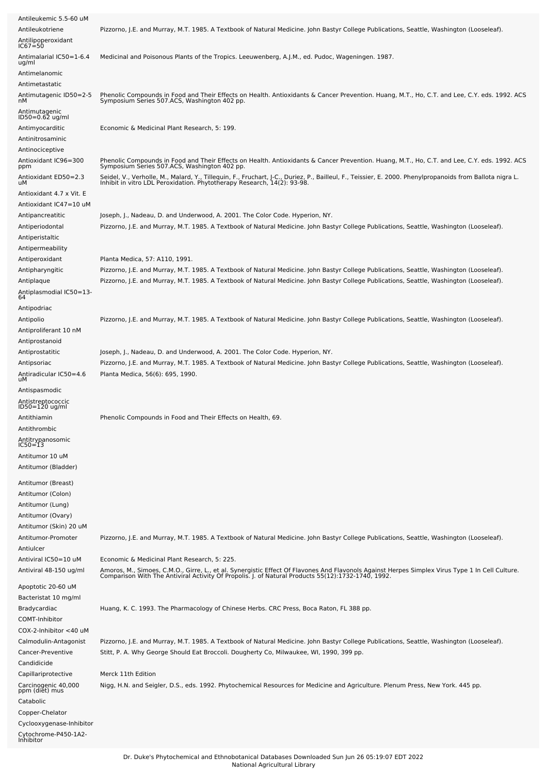| Antileukemic 5.5-60 uM<br>Antileukotriene<br>Antilipoperoxidant<br>$IC67 = 50$ | Pizzorno, J.E. and Murray, M.T. 1985. A Textbook of Natural Medicine. John Bastyr College Publications, Seattle, Washington (Looseleaf).                                                                                            |
|--------------------------------------------------------------------------------|-------------------------------------------------------------------------------------------------------------------------------------------------------------------------------------------------------------------------------------|
| Antimalarial IC50=1-6.4<br>ug/ml                                               | Medicinal and Poisonous Plants of the Tropics. Leeuwenberg, A.J.M., ed. Pudoc, Wageningen. 1987.                                                                                                                                    |
| Antimelanomic                                                                  |                                                                                                                                                                                                                                     |
| Antimetastatic<br>Antimutagenic ID50=2-5<br>nМ                                 | Phenolic Compounds in Food and Their Effects on Health. Antioxidants & Cancer Prevention. Huang, M.T., Ho, C.T. and Lee, C.Y. eds. 1992. ACS<br>Symposium Series 507.ACS, Washington 402 pp.                                        |
| Antimutagenic<br>ID50=0.62 ug/ml                                               |                                                                                                                                                                                                                                     |
| Antimyocarditic                                                                | Economic & Medicinal Plant Research, 5: 199.                                                                                                                                                                                        |
| Antinitrosaminic                                                               |                                                                                                                                                                                                                                     |
| Antinociceptive                                                                | Phenolic Compounds in Food and Their Effects on Health. Antioxidants & Cancer Prevention. Huang, M.T., Ho, C.T. and Lee, C.Y. eds. 1992. ACS                                                                                        |
| Antioxidant IC96=300<br>ppm                                                    | Symposium Series 507.ACS, Washington 402 pp.                                                                                                                                                                                        |
| Antioxidant ED50=2.3<br>uМ                                                     | Seidel, V., Verholle, M., Malard, Y., Tillequin, F., Fruchart, J-C., Duriez, P., Bailleul, F., Teissier, E. 2000. Phenylpropanoids from Ballota nigra L.<br>Inhibit in vitro LDL Peroxidation. Phytotherapy Research, 14(2): 93-9   |
| Antioxidant 4.7 x Vit. E<br>Antioxidant IC47=10 uM                             |                                                                                                                                                                                                                                     |
| Antipancreatitic                                                               | Joseph, J., Nadeau, D. and Underwood, A. 2001. The Color Code. Hyperion, NY.                                                                                                                                                        |
| Antiperiodontal                                                                | Pizzorno, J.E. and Murray, M.T. 1985. A Textbook of Natural Medicine. John Bastyr College Publications, Seattle, Washington (Looseleaf).                                                                                            |
| Antiperistaltic<br>Antipermeability                                            |                                                                                                                                                                                                                                     |
| Antiperoxidant                                                                 | Planta Medica, 57: A110, 1991.                                                                                                                                                                                                      |
| Antipharyngitic                                                                | Pizzorno, J.E. and Murray, M.T. 1985. A Textbook of Natural Medicine. John Bastyr College Publications, Seattle, Washington (Looseleaf).                                                                                            |
| Antiplaque                                                                     | Pizzorno, J.E. and Murray, M.T. 1985. A Textbook of Natural Medicine. John Bastyr College Publications, Seattle, Washington (Looseleaf).                                                                                            |
| -4.Antiplasmodial IC50=13<br>64                                                |                                                                                                                                                                                                                                     |
| Antipodriac                                                                    |                                                                                                                                                                                                                                     |
| Antipolio                                                                      | Pizzorno, J.E. and Murray, M.T. 1985. A Textbook of Natural Medicine. John Bastyr College Publications, Seattle, Washington (Looseleaf).                                                                                            |
| Antiproliferant 10 nM<br>Antiprostanoid                                        |                                                                                                                                                                                                                                     |
| Antiprostatitic                                                                | Joseph, J., Nadeau, D. and Underwood, A. 2001. The Color Code. Hyperion, NY.                                                                                                                                                        |
| Antipsoriac                                                                    | Pizzorno, J.E. and Murray, M.T. 1985. A Textbook of Natural Medicine. John Bastyr College Publications, Seattle, Washington (Looseleaf).                                                                                            |
| Antiradicular IC50=4.6<br>uМ                                                   | Planta Medica, 56(6): 695, 1990.                                                                                                                                                                                                    |
| Antispasmodic                                                                  |                                                                                                                                                                                                                                     |
| Antistreptococcic<br>ID50=120 ug/ml                                            |                                                                                                                                                                                                                                     |
| Antithiamin                                                                    | Phenolic Compounds in Food and Their Effects on Health, 69.                                                                                                                                                                         |
| Antithrombic                                                                   |                                                                                                                                                                                                                                     |
| Antitrypanosomic<br>IC50=13                                                    |                                                                                                                                                                                                                                     |
| Antitumor 10 uM                                                                |                                                                                                                                                                                                                                     |
| Antitumor (Bladder)                                                            |                                                                                                                                                                                                                                     |
| Antitumor (Breast)                                                             |                                                                                                                                                                                                                                     |
| Antitumor (Colon)<br>Antitumor (Lung)                                          |                                                                                                                                                                                                                                     |
| Antitumor (Ovary)                                                              |                                                                                                                                                                                                                                     |
| Antitumor (Skin) 20 uM                                                         |                                                                                                                                                                                                                                     |
| Antitumor-Promoter<br>Antiulcer                                                | Pizzorno, J.E. and Murray, M.T. 1985. A Textbook of Natural Medicine. John Bastyr College Publications, Seattle, Washington (Looseleaf).                                                                                            |
| Antiviral IC50=10 uM                                                           | Economic & Medicinal Plant Research, 5: 225.                                                                                                                                                                                        |
| Antiviral 48-150 ug/ml                                                         | Amoros, M., Simoes, C.M.O., Girre, L., et al. Synergistic Effect Of Flavones And Flavonols Against Herpes Simplex Virus Type 1 In Cell Culture.<br>Comparison With The Antiviral Activity Of Propolis. J. of Natural Products 55(   |
| Apoptotic 20-60 uM                                                             |                                                                                                                                                                                                                                     |
| Bacteristat 10 mg/ml<br>Bradycardiac                                           | Huang, K. C. 1993. The Pharmacology of Chinese Herbs. CRC Press, Boca Raton, FL 388 pp.                                                                                                                                             |
| <b>COMT-Inhibitor</b>                                                          |                                                                                                                                                                                                                                     |
| COX-2-Inhibitor <40 uM                                                         |                                                                                                                                                                                                                                     |
| Calmodulin-Antagonist<br>Cancer-Preventive                                     | Pizzorno, J.E. and Murray, M.T. 1985. A Textbook of Natural Medicine. John Bastyr College Publications, Seattle, Washington (Looseleaf).<br>Stitt, P. A. Why George Should Eat Broccoli. Dougherty Co, Milwaukee, WI, 1990, 399 pp. |
| Candidicide                                                                    |                                                                                                                                                                                                                                     |
| Capillariprotective<br>Carcinogenic 40,000<br>ppm (diet) mus                   | Merck 11th Edition<br>Nigg, H.N. and Seigler, D.S., eds. 1992. Phytochemical Resources for Medicine and Agriculture. Plenum Press, New York. 445 pp.                                                                                |
| Catabolic                                                                      |                                                                                                                                                                                                                                     |
| Copper-Chelator                                                                |                                                                                                                                                                                                                                     |
| Cyclooxygenase-Inhibitor<br>Cytochrome-P450-1A2-<br>Inhibitor                  |                                                                                                                                                                                                                                     |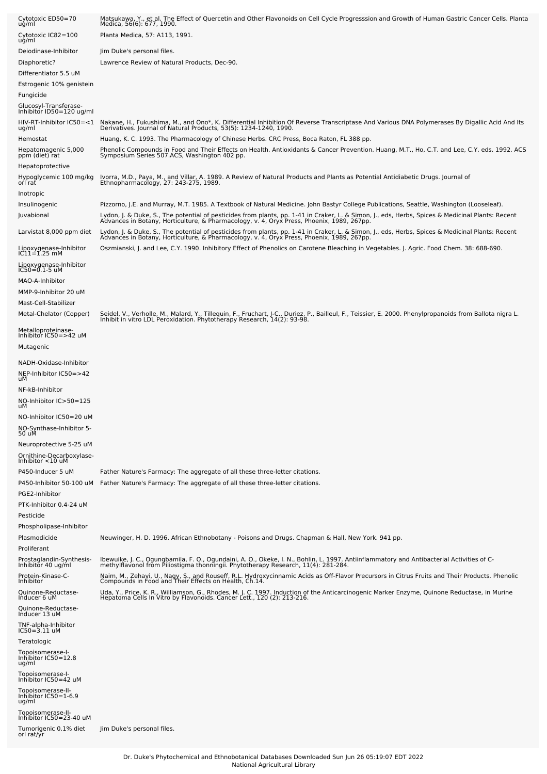| Cytotoxic ED50=70<br>ug/ml                                                                             | Matsukawa, Y., et al. The Effect of Quercetin and Other Flavonoids on Cell Cycle Progresssion and Growth of Human Gastric Cancer Cells. Planta<br>Medica, 56(6): 677, 1990.                                                                   |
|--------------------------------------------------------------------------------------------------------|-----------------------------------------------------------------------------------------------------------------------------------------------------------------------------------------------------------------------------------------------|
| Cytotoxic IC82=100<br>ug/ml                                                                            | Planta Medica, 57: A113, 1991.                                                                                                                                                                                                                |
| Deiodinase-Inhibitor<br>Diaphoretic?<br>Differentiator 5.5 uM<br>Estrogenic 10% genistein<br>Fungicide | Jim Duke's personal files.<br>Lawrence Review of Natural Products, Dec-90.                                                                                                                                                                    |
| Glucosyl-Transferase-<br>Inhibitor ID50=120 ug/ml                                                      |                                                                                                                                                                                                                                               |
| HIV-RT-Inhibitor IC50=<1<br>ug/ml                                                                      | Nakane, H., Fukushima, M., and Ono*, K. Differential Inhibition Of Reverse Transcriptase And Various DNA Polymerases By Digallic Acid And Its<br>Derivatives. Journal of Natural Products, 53(5): 1234-1240, 1990.                            |
| Hemostat                                                                                               | Huang, K. C. 1993. The Pharmacology of Chinese Herbs. CRC Press, Boca Raton, FL 388 pp.                                                                                                                                                       |
| Hepatomagenic 5,000<br>ppm (diet) rat<br>Hepatoprotective                                              | Phenolic Compounds in Food and Their Effects on Health. Antioxidants & Cancer Prevention. Huang, M.T., Ho, C.T. and Lee, C.Y. eds. 1992. ACS<br>Symposium Series 507.ACS, Washington 402 pp.                                                  |
| Hypoglycemic 100 mg/kg<br>orl rat                                                                      | Ivorra, M.D., Paya, M., and Villar, A. 1989. A Review of Natural Products and Plants as Potential Antidiabetic Drugs. Journal of<br>Ethnopharmacology, 27: 243-275, 1989.                                                                     |
| Inotropic<br>Insulinogenic                                                                             | Pizzorno, J.E. and Murray, M.T. 1985. A Textbook of Natural Medicine. John Bastyr College Publications, Seattle, Washington (Looseleaf).                                                                                                      |
| Juvabional                                                                                             | Lydon, J. & Duke, S., The potential of pesticides from plants, pp. 1-41 in Craker, L. & Simon, J., eds, Herbs, Spices & Medicinal Plants: Recent<br>Advances in Botany, Horticulture, & Pharmacology, v. 4, Oryx Press, Phoenix,              |
| Larvistat 8,000 ppm diet                                                                               | Lydon, J. & Duke, S., The potential of pesticides from plants, pp. 1-41 in Craker, L. & Simon, J., eds, Herbs, Spices & Medicinal Plants: Recent<br>Advances in Botany, Horticulture, & Pharmacology, v. 4, Oryx Press, Phoenix, 1989, 267pp. |
| Lipoxygenase-Inhibitor<br>IC11=1.25 mM                                                                 | Oszmianski, J. and Lee, C.Y. 1990. Inhibitory Effect of Phenolics on Carotene Bleaching in Vegetables. J. Agric. Food Chem. 38: 688-690.                                                                                                      |
| Lipoxygenase-Inhibitor<br>IC50=0.1-5 uM                                                                |                                                                                                                                                                                                                                               |
| MAO-A-Inhibitor                                                                                        |                                                                                                                                                                                                                                               |
| MMP-9-Inhibitor 20 uM                                                                                  |                                                                                                                                                                                                                                               |
| Mast-Cell-Stabilizer<br>Metal-Chelator (Copper)                                                        | Seidel, V., Verholle, M., Malard, Y., Tillequin, F., Fruchart, J-C., Duriez, P., Bailleul, F., Teissier, E. 2000. Phenylpropanoids from Ballota nigra L.<br>Inhibit in vitro LDL Peroxidation. Phytotherapy Research, 14(2): 93-9             |
| Metalloproteinase-<br>Inhibitor IC50=>42 uM<br>Mutagenic                                               |                                                                                                                                                                                                                                               |
| NADH-Oxidase-Inhibitor<br>NEP-Inhibitor IC50=>42<br>uМ                                                 |                                                                                                                                                                                                                                               |
| NF-kB-Inhibitor<br>NO-Inhibitor IC>50=125<br>uМ                                                        |                                                                                                                                                                                                                                               |
| NO-Inhibitor IC50=20 uM<br>NO-Synthase-Inhibitor 5-<br>50 uM                                           |                                                                                                                                                                                                                                               |
| Neuroprotective 5-25 uM                                                                                |                                                                                                                                                                                                                                               |
| Ornithine-Decarboxylase-<br>Inhibitor <10 uM                                                           |                                                                                                                                                                                                                                               |
| P450-Inducer 5 uM                                                                                      | Father Nature's Farmacy: The aggregate of all these three-letter citations.                                                                                                                                                                   |
| P450-Inhibitor 50-100 uM<br>PGE2-Inhibitor                                                             | Father Nature's Farmacy: The aggregate of all these three-letter citations.                                                                                                                                                                   |
| PTK-Inhibitor 0.4-24 uM                                                                                |                                                                                                                                                                                                                                               |
| Pesticide<br>Phospholipase-Inhibitor                                                                   |                                                                                                                                                                                                                                               |
| Plasmodicide<br>Proliferant                                                                            | Neuwinger, H. D. 1996. African Ethnobotany - Poisons and Drugs. Chapman & Hall, New York. 941 pp.                                                                                                                                             |
| Prostaglandin-Synthesis-<br>Inhibitor 40 ug/ml                                                         | Ibewuike, J. C., Ogungbamila, F. O., Ogundaini, A. O., Okeke, I. N., Bohlin, L. 1997. Antiinflammatory and Antibacterial Activities of C-<br>methylflavonol from Piliostigma thonningii. Phytotherapy Research, 11(4): 281-284.               |
| Protein-Kinase-C-<br>Inhibitor                                                                         | Naim, M., Zehavi, U., Nagy, S., and Rouseff, R.L. Hydroxycinnamic Acids as Off-Flavor Precursors in Citrus Fruits and Their Products. Phenolic<br>Compounds in Food and Their Effects on Health, Ch.14.                                       |
| Quinone-Reductase-<br>Inducer 6 uM                                                                     | Uda, Y., Price, K. R., Williamson, G., Rhodes, M. J. C. 1997. Induction of the Anticarcinogenic Marker Enzyme, Quinone Reductase, in Murine<br>Hepatoma Cells In Vitro by Flavonoids. Cancer Lett., 120 (2): 213-216.                         |
| Quinone-Reductase-<br>Inducer 13 uM                                                                    |                                                                                                                                                                                                                                               |
| TNF-alpha-Inhibitor<br>$IC50 = 3.11$ uM                                                                |                                                                                                                                                                                                                                               |
| Teratologic                                                                                            |                                                                                                                                                                                                                                               |
| Topoisomerase-I-<br>Inhibitor IC50=12.8<br>ug/ml                                                       |                                                                                                                                                                                                                                               |
| Topoisomerase-I-<br>Inhibitor IC50=42 uM                                                               |                                                                                                                                                                                                                                               |
| Topoisomerase-II-<br>Inhibitor IC50=1-6.9<br>ug/ml                                                     |                                                                                                                                                                                                                                               |
| Topoisomerase-II-<br>Inhibitor IC50=23-40 uM<br>Tumorigenic 0.1% diet<br>orl rat/yr                    | Jim Duke's personal files.                                                                                                                                                                                                                    |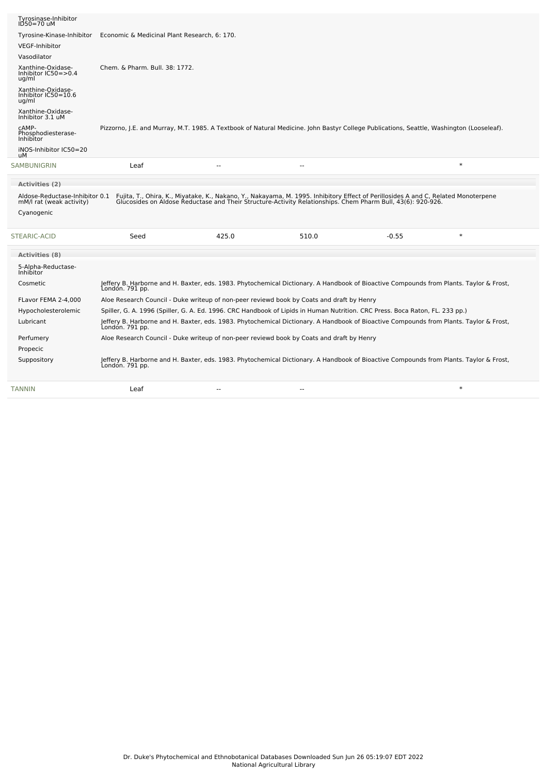| $ID50=70$ uM<br>Tyrosine-Kinase-Inhibitor                  | Economic & Medicinal Plant Research, 6: 170.                                              |                          |                                                                                                                                                                                                                                   |                                                                                                                                                           |        |  |
|------------------------------------------------------------|-------------------------------------------------------------------------------------------|--------------------------|-----------------------------------------------------------------------------------------------------------------------------------------------------------------------------------------------------------------------------------|-----------------------------------------------------------------------------------------------------------------------------------------------------------|--------|--|
| <b>VEGF-Inhibitor</b>                                      |                                                                                           |                          |                                                                                                                                                                                                                                   |                                                                                                                                                           |        |  |
| Vasodilator                                                |                                                                                           |                          |                                                                                                                                                                                                                                   |                                                                                                                                                           |        |  |
| Xanthine-Oxidase-<br>Inhibitor $IC50 = > 0.4$<br>ug/ml     | Chem. & Pharm. Bull. 38: 1772.                                                            |                          |                                                                                                                                                                                                                                   |                                                                                                                                                           |        |  |
| Xanthine-Oxidase-<br>Inhibitor IC50=10.6<br>ug/ml          |                                                                                           |                          |                                                                                                                                                                                                                                   |                                                                                                                                                           |        |  |
| Xanthine-Oxidase-<br>Inhibitor 3.1 uM                      |                                                                                           |                          |                                                                                                                                                                                                                                   |                                                                                                                                                           |        |  |
| CAMP-<br>Phosphodiesterase-<br>Inhibitor                   |                                                                                           |                          |                                                                                                                                                                                                                                   | Pizzorno, J.E. and Murray, M.T. 1985. A Textbook of Natural Medicine. John Bastyr College Publications, Seattle, Washington (Looseleaf).                  |        |  |
| iNOS-Inhibitor IC50=20<br>uМ                               |                                                                                           |                          |                                                                                                                                                                                                                                   |                                                                                                                                                           |        |  |
| SAMBUNIGRIN                                                | Leaf                                                                                      |                          | --                                                                                                                                                                                                                                |                                                                                                                                                           | $\ast$ |  |
|                                                            |                                                                                           |                          |                                                                                                                                                                                                                                   |                                                                                                                                                           |        |  |
| <b>Activities (2)</b>                                      |                                                                                           |                          |                                                                                                                                                                                                                                   |                                                                                                                                                           |        |  |
|                                                            |                                                                                           |                          |                                                                                                                                                                                                                                   |                                                                                                                                                           |        |  |
| Aldose-Reductase-Inhibitor 0.1<br>mM/l rat (weak activity) |                                                                                           |                          | Fujita, T., Ohira, K., Miyatake, K., Nakano, Y., Nakayama, M. 1995. Inhibitory Effect of Perillosides A and C, Related Monoterpene<br>Glucosides on Aldose Reductase and Their Structure-Activity Relationships. Chem Pharm Bull, |                                                                                                                                                           |        |  |
| Cyanogenic                                                 |                                                                                           |                          |                                                                                                                                                                                                                                   |                                                                                                                                                           |        |  |
|                                                            | Seed                                                                                      | 425.0                    | 510.0                                                                                                                                                                                                                             | $-0.55$                                                                                                                                                   | $\ast$ |  |
| <b>Activities (8)</b>                                      |                                                                                           |                          |                                                                                                                                                                                                                                   |                                                                                                                                                           |        |  |
| 5-Alpha-Reductase-<br>Inhibitor                            |                                                                                           |                          |                                                                                                                                                                                                                                   |                                                                                                                                                           |        |  |
| Cosmetic                                                   | London. 791 pp.                                                                           |                          |                                                                                                                                                                                                                                   | Jeffery B. Harborne and H. Baxter, eds. 1983. Phytochemical Dictionary. A Handbook of Bioactive Compounds from Plants. Taylor & Frost,                    |        |  |
| FLavor FEMA 2-4,000                                        | Aloe Research Council - Duke writeup of non-peer reviewd book by Coats and draft by Henry |                          |                                                                                                                                                                                                                                   |                                                                                                                                                           |        |  |
| Hypocholesterolemic                                        |                                                                                           |                          |                                                                                                                                                                                                                                   | Spiller, G. A. 1996 (Spiller, G. A. Ed. 1996. CRC Handbook of Lipids in Human Nutrition. CRC Press. Boca Raton, FL. 233 pp.)                              |        |  |
| Lubricant                                                  |                                                                                           |                          |                                                                                                                                                                                                                                   | Jeffery B. Harborne and H. Baxter, eds. 1983. Phytochemical Dictionary. A Handbook of Bioactive Compounds from Plants. Taylor & Frost,<br>London. 791 pp. |        |  |
| Perfumery                                                  | Aloe Research Council - Duke writeup of non-peer reviewd book by Coats and draft by Henry |                          |                                                                                                                                                                                                                                   |                                                                                                                                                           |        |  |
| Propecic                                                   |                                                                                           |                          |                                                                                                                                                                                                                                   |                                                                                                                                                           |        |  |
| <b>STEARIC-ACID</b><br>Suppository                         | London. 791 pp.                                                                           |                          |                                                                                                                                                                                                                                   | Jeffery B. Harborne and H. Baxter, eds. 1983. Phytochemical Dictionary. A Handbook of Bioactive Compounds from Plants. Taylor & Frost,                    |        |  |
| <b>TANNIN</b>                                              | Leaf                                                                                      | $\overline{\phantom{a}}$ | ٠.                                                                                                                                                                                                                                |                                                                                                                                                           | $\ast$ |  |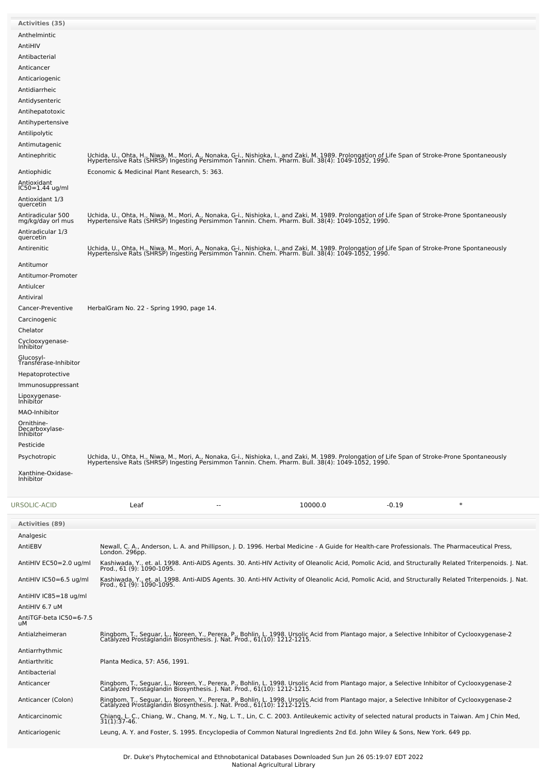| <b>Activities (35)</b>                                                                                                                                                                                                                                                |                                                                                                                                                                                                                                                                                                                                                                                                                                                                                                                                             |
|-----------------------------------------------------------------------------------------------------------------------------------------------------------------------------------------------------------------------------------------------------------------------|---------------------------------------------------------------------------------------------------------------------------------------------------------------------------------------------------------------------------------------------------------------------------------------------------------------------------------------------------------------------------------------------------------------------------------------------------------------------------------------------------------------------------------------------|
| Anthelmintic<br>AntiHIV<br>Antibacterial<br>Anticancer<br>Anticariogenic<br>Antidiarrheic<br>Antidysenteric<br>Antihepatotoxic<br>Antihypertensive<br>Antilipolytic<br>Antimutagenic                                                                                  |                                                                                                                                                                                                                                                                                                                                                                                                                                                                                                                                             |
| Antinephritic<br>Antiophidic<br>Antioxidant<br>IC50=1.44 ug/ml<br>Antioxidant 1/3                                                                                                                                                                                     | Uchida, U., Ohta, H., Niwa, M., Mori, A., Nonaka, G-i., Nishioka, I., and Zaki, M. 1989. Prolongation of Life Span of Stroke-Prone Spontaneously<br>Hypertensive Rats (SHRSP) Ingesting Persimmon Tannin. Chem. Pharm. Bull. 38(4<br>Economic & Medicinal Plant Research, 5: 363.                                                                                                                                                                                                                                                           |
| quercetin<br>Antiradicular 500<br>mg/kg/day orl mus<br>Antiradicular 1/3<br>quercetin                                                                                                                                                                                 | Uchida, U., Ohta, H., Niwa, M., Mori, A., Nonaka, G-i., Nishioka, I., and Zaki, M. 1989. Prolongation of Life Span of Stroke-Prone Spontaneously<br>Hypertensive Rats (SHRSP) Ingesting Persimmon Tannin. Chem. Pharm. Bull. 38(4                                                                                                                                                                                                                                                                                                           |
| Antirenitic<br>Antitumor<br>Antitumor-Promoter<br>Antiulcer<br>Antiviral                                                                                                                                                                                              | Uchida, U., Ohta, H., Niwa, M., Mori, A., Nonaka, G-i., Nishioka, I., and Zaki, M. 1989. Prolongation of Life Span of Stroke-Prone Spontaneously<br>Hypertensive Rats (SHRSP) Ingesting Persimmon Tannin. Chem. Pharm. Bull. 38(4                                                                                                                                                                                                                                                                                                           |
| Cancer-Preventive<br>Carcinogenic<br>Chelator<br>Cyclooxygenase-<br>Inhibitor<br>Glucosyl-<br>Transferase-Inhibitor<br>Hepatoprotective<br>Immunosuppressant<br>Lipoxygenase-<br>Inhibitor<br>MAO-Inhibitor<br>Ornithine-<br>Decarboxylase-<br>Inhibitor<br>Pesticide | HerbalGram No. 22 - Spring 1990, page 14.                                                                                                                                                                                                                                                                                                                                                                                                                                                                                                   |
| Psychotropic<br>Xanthine-Oxidase-<br>Inhibitor                                                                                                                                                                                                                        | Uchida, U., Ohta, H., Niwa, M., Mori, A., Nonaka, G-i., Nishioka, I., and Zaki, M. 1989. Prolongation of Life Span of Stroke-Prone Spontaneously<br>Hypertensive Rats (SHRSP) Ingesting Persimmon Tannin. Chem. Pharm. Bull. 38(4                                                                                                                                                                                                                                                                                                           |
| URSOLIC-ACID                                                                                                                                                                                                                                                          | $\ast$<br>Leaf<br>10000.0<br>$-0.19$<br>--                                                                                                                                                                                                                                                                                                                                                                                                                                                                                                  |
| <b>Activities (89)</b><br>Analgesic<br>AntiEBV<br>AntiHIV EC50=2.0 ug/ml<br>AntiHIV IC50=6.5 ug/ml<br>AntiHIV IC85=18 ug/ml                                                                                                                                           | Newall, C. A., Anderson, L. A. and Phillipson, J. D. 1996. Herbal Medicine - A Guide for Health-care Professionals. The Pharmaceutical Press,<br>London. 296pp.<br>Kashiwada, Y., et. al. 1998. Anti-AIDS Agents. 30. Anti-HIV Activity of Oleanolic Acid, Pomolic Acid, and Structurally Related Triterpenoids. J. Nat.<br>Prod., 61 (9): 1090-1095.<br>Kashiwada, Y., et. al. 1998. Anti-AIDS Agents. 30. Anti-HIV Activity of Oleanolic Acid, Pomolic Acid, and Structurally Related Triterpenoids. J. Nat.<br>Prod., 61 (9): 1090-1095. |
| AntiHIV 6.7 uM<br>AntiTGF-beta IC50=6-7.5<br>uМ<br>Antialzheimeran                                                                                                                                                                                                    | Ringbom, T., Seguar, L., Noreen, Y., Perera, P., Bohlin, L. 1998. Ursolic Acid from Plantago major, a Selective Inhibitor of Cyclooxygenase-2<br>Catalyzed Prostaglandin Biosynthesis. J. Nat. Prod., 61(10): 1212-1215.                                                                                                                                                                                                                                                                                                                    |
| Antiarrhythmic<br>Antiarthritic<br>Antibacterial<br>Anticancer                                                                                                                                                                                                        | Planta Medica, 57: A56, 1991.<br>Ringbom, T., Seguar, L., Noreen, Y., Perera, P., Bohlin, L. 1998. Ursolic Acid from Plantago major, a Selective Inhibitor of Cyclooxygenase-2                                                                                                                                                                                                                                                                                                                                                              |
| Anticancer (Colon)<br>Anticarcinomic                                                                                                                                                                                                                                  | Catalyzed Prostaglandin Biosynthesis. J. Nat. Prod., 61(10): 1212-1215.<br>Ringbom, T., Seguar, L., Noreen, Y., Perera, P., Bohlin, L. 1998. Ursolic Acid from Plantago major, a Selective Inhibitor of Cyclooxygenase-2<br>Catalyzed Prostaglandin Biosynthesis. J. Nat. Prod., 61(10): 1212-1215.<br>Chiang, L. C., Chiang, W., Chang, M. Y., Ng, L. T., Lin, C. C. 2003. Antileukemic activity of selected natural products in Taiwan. Am J Chin Med,<br>31(1):37-46.                                                                    |
| Anticariogenic                                                                                                                                                                                                                                                        | Leung, A. Y. and Foster, S. 1995. Encyclopedia of Common Natural Ingredients 2nd Ed. John Wiley & Sons, New York. 649 pp.                                                                                                                                                                                                                                                                                                                                                                                                                   |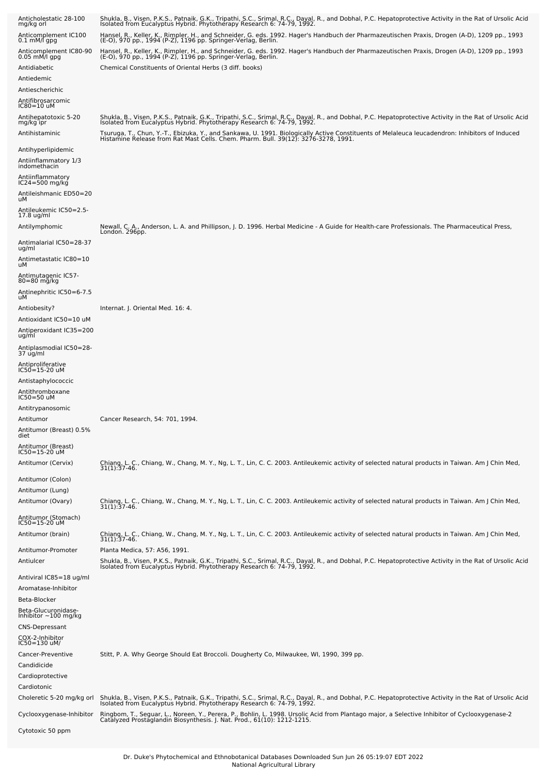| Anticholestatic 28-100<br>mg/kg orl                 | Shukla, B., Visen, P.K.S., Patnaik, G.K., Tripathi, S.C., Srimal, R.C., Dayal, R., and Dobhal, P.C. Hepatoprotective Activity in the Rat of Ursolic Acid<br>Isolated from Eucalyptus Hybrid. Phytotherapy Research 6: 74-79, 1992. |
|-----------------------------------------------------|------------------------------------------------------------------------------------------------------------------------------------------------------------------------------------------------------------------------------------|
| Anticomplement IC100<br>$0.1 \text{ mM/I}$ gpg      | Hansel, R., Keller, K., Rimpler, H., and Schneider, G. eds. 1992. Hager's Handbuch der Pharmazeutischen Praxis, Drogen (A-D), 1209 pp., 1993<br>(E-O), 970 pp., 1994 (P-Z), 1196 pp. Springer-Verlag, Berlin.                      |
| Anticomplement IC80-90<br>0.05 mM/l gpg             | Hansel, R., Keller, K., Rimpler, H., and Schneider, G. eds. 1992. Hager's Handbuch der Pharmazeutischen Praxis, Drogen (A-D), 1209 pp., 1993<br>(E-O), 970 pp., 1994 (P-Z), 1196 pp. Springer-Verlag, Berlin.                      |
| Antidiabetic<br>Antiedemic                          | Chemical Constituents of Oriental Herbs (3 diff. books)                                                                                                                                                                            |
| Antiescherichic                                     |                                                                                                                                                                                                                                    |
| Antifibrosarcomic<br>IC80=10 uM                     |                                                                                                                                                                                                                                    |
| Antihepatotoxic 5-20<br>mg/kg ipr<br>Antihistaminic | Shukla, B., Visen, P.K.S., Patnaik, G.K., Tripathi, S.C., Srimal, R.C., Dayal, R., and Dobhal, P.C. Hepatoprotective Activity in the Rat of Ursolic Acid<br>Isolated from Eucalyptus Hybrid. Phytotherapy Research 6: 74-79, 1992. |
|                                                     | Tsuruga, T., Chun, Y.-T., Ebizuka, Y., and Sankawa, U. 1991. Biologically Active Constituents of Melaleuca leucadendron: Inhibitors of Induced<br>Histamine Release from Rat Mast Cells. Chem. Pharm. Bull. 39(12): 3276-3278, 19  |
| Antihyperlipidemic<br>Antiinflammatory 1/3          |                                                                                                                                                                                                                                    |
| indomethacin                                        |                                                                                                                                                                                                                                    |
| Antiinflammatory<br>IC24=500 mg/kġ                  |                                                                                                                                                                                                                                    |
| Antileishmanic ED50=20<br>uМ                        |                                                                                                                                                                                                                                    |
| -4.5-Antileukemic IC50<br>17.8 ug/ml                |                                                                                                                                                                                                                                    |
| Antilymphomic                                       | Newall, C. A., Anderson, L. A. and Phillipson, J. D. 1996. Herbal Medicine - A Guide for Health-care Professionals. The Pharmaceutical Press,<br>London. 296pp.                                                                    |
| Antimalarial IC50=28-37<br>ug/ml                    |                                                                                                                                                                                                                                    |
| Antimetastatic IC80=10                              |                                                                                                                                                                                                                                    |
| uМ<br>Antimutagenic IC57-                           |                                                                                                                                                                                                                                    |
| 80=80 mg/kg                                         |                                                                                                                                                                                                                                    |
| Antinephritic IC50=6-7.5<br>uМ                      |                                                                                                                                                                                                                                    |
| Antiobesity?                                        | Internat. J. Oriental Med. 16: 4.                                                                                                                                                                                                  |
| Antioxidant IC50=10 uM<br>Antiperoxidant IC35=200   |                                                                                                                                                                                                                                    |
| ug/ml                                               |                                                                                                                                                                                                                                    |
| Antiplasmodial IC50=28-<br>37 ug/ml                 |                                                                                                                                                                                                                                    |
| Antiproliferative<br>IC50=15-20 uM                  |                                                                                                                                                                                                                                    |
| Antistaphylococcic                                  |                                                                                                                                                                                                                                    |
| Antithromboxane<br>IC50=50 uM                       |                                                                                                                                                                                                                                    |
| Antitrypanosomic                                    |                                                                                                                                                                                                                                    |
| Antitumor<br>Antitumor (Breast) 0.5%                | Cancer Research, 54: 701, 1994.                                                                                                                                                                                                    |
| diet                                                |                                                                                                                                                                                                                                    |
| Antitumor (Breast)<br>IC50=15-20 uM                 |                                                                                                                                                                                                                                    |
| Antitumor (Cervix)                                  | Chiang, L. C., Chiang, W., Chang, M. Y., Ng, L. T., Lin, C. C. 2003. Antileukemic activity of selected natural products in Taiwan. Am J Chin Med,<br>$31(1):37-46.$                                                                |
| Antitumor (Colon)                                   |                                                                                                                                                                                                                                    |
| Antitumor (Lung)                                    |                                                                                                                                                                                                                                    |
| Antitumor (Ovary)                                   | Chiang, L. C., Chiang, W., Chang, M. Y., Ng, L. T., Lin, C. C. 2003. Antileukemic activity of selected natural products in Taiwan. Am J Chin Med, 31(1):37-46.                                                                     |
| Antitumor (Stomach)<br>IC50=15-20 uM                |                                                                                                                                                                                                                                    |
| Antitumor (brain)                                   | Chiang, L. C., Chiang, W., Chang, M. Y., Ng, L. T., Lin, C. C. 2003. Antileukemic activity of selected natural products in Taiwan. Am J Chin Med, 31(1):37-46.                                                                     |
| Antitumor-Promoter                                  | Planta Medica, 57: A56, 1991.                                                                                                                                                                                                      |
| Antiulcer                                           | Shukla, B., Visen, P.K.S., Patnaik, G.K., Tripathi, S.C., Srimal, R.C., Dayal, R., and Dobhal, P.C. Hepatoprotective Activity in the Rat of Ursolic Acid<br>Isolated from Eucalyptus Hybrid. Phytotherapy Research 6: 74-79, 1992. |
| Antiviral IC85=18 ug/ml<br>Aromatase-Inhibitor      |                                                                                                                                                                                                                                    |
| Beta-Blocker                                        |                                                                                                                                                                                                                                    |
| Beta-Glucuronidase-<br>Inhibitor $\sim$ 100 mg/kg   |                                                                                                                                                                                                                                    |
| <b>CNS-Depressant</b>                               |                                                                                                                                                                                                                                    |
| COX-2-Inhibitor<br>IC50=130 uM/                     |                                                                                                                                                                                                                                    |
| Cancer-Preventive                                   | Stitt, P. A. Why George Should Eat Broccoli. Dougherty Co, Milwaukee, WI, 1990, 399 pp.                                                                                                                                            |
| Candidicide                                         |                                                                                                                                                                                                                                    |
| Cardioprotective<br>Cardiotonic                     |                                                                                                                                                                                                                                    |
| Choleretic 5-20 mg/kg orl                           | Shukla, B., Visen, P.K.S., Patnaik, G.K., Tripathi, S.C., Srimal, R.C., Dayal, R., and Dobhal, P.C. Hepatoprotective Activity in the Rat of Ursolic Acid<br>Isolated from Eucalyptus Hybrid. Phytotherapy Research 6: 74-79, 1992  |
| Cyclooxygenase-Inhibitor                            | Ringbom, T., Seguar, L., Noreen, Y., Perera, P., Bohlin, L. 1998. Ursolic Acid from Plantago major, a Selective Inhibitor of Cyclooxygenase-2<br>Catalyzed Prostaglandin Biosynthesis. J. Nat. Prod., 61(10): 1212-1215.           |
| Cytotoxic 50 ppm                                    |                                                                                                                                                                                                                                    |